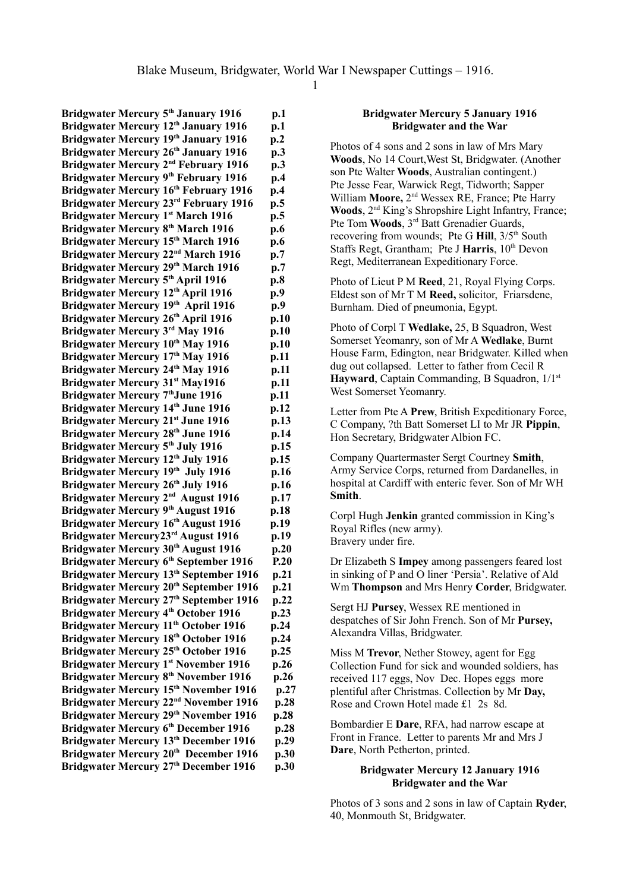**Bridgwater Mercury 5 th January 1916 p.1 Bridgwater Mercury 12 th January 1916 p.1 Bridgwater Mercury 19th January 1916 p.2 Bridgwater Mercury 26 th January 1916 p.3 Bridgwater Mercury 2<sup>nd</sup> February 1916** p.3 **Bridgwater Mercury 9 th February 1916 p.4 Bridgwater Mercury 16 th February 1916 p.4 Bridgwater Mercury 23 rd February 1916 p.5 Bridgwater Mercury 1 st March 1916 p.5 Bridgwater Mercury 8 th March 1916 p.6 Bridgwater Mercury 15 th March 1916 p.6 Bridgwater Mercury 22<sup>nd</sup> March 1916 p.7 Bridgwater Mercury 29th March 1916 p.7 Bridgwater Mercury 5 th April 1916 p.8 Bridgwater Mercury 12 th April 1916 p.9 Bridgwater Mercury 19th April 1916 p.9 Bridgwater Mercury 26 th April 1916 p.10 Bridgwater Mercury 3<sup>rd</sup> May 1916 p.10 Bridgwater Mercury 10 th May 1916 p.10 Bridgwater Mercury 17 th May 1916 p.11 Bridgwater Mercury 24 th May 1916 p.11 Bridgwater Mercury 31st May1916 p.11 Bridgwater Mercury 7 thJune 1916 p.11 Bridgwater Mercury 14 th June 1916 p.12 Bridgwater Mercury 21 st June 1916 p.13 Bridgwater Mercury 28 th June 1916 p.14 Bridgwater Mercury 5 th July 1916 p.15 Bridgwater Mercury 12 th July 1916 p.15 Bridgwater Mercury 19th July 1916 p.16 Bridgwater Mercury 26 th July 1916 p.16 Bridgwater Mercury 2<sup>nd</sup> August 1916 p.17 Bridgwater Mercury 9 th August 1916 p.18 Bridgwater Mercury 16 th August 1916 p.19 Bridgwater Mercury23 rd August 1916 p.19 Bridgwater Mercury 30th August 1916 p.20 Bridgwater Mercury 6 th September 1916 P.20** Bridgwater Mercury 13<sup>th</sup> September 1916 p.21 **Bridgwater Mercury 20th September 1916 p.21** Bridgwater Mercury 27<sup>th</sup> September 1916 p.22 **Bridgwater Mercury 4 th October 1916 p.23 Bridgwater Mercury 11 th October 1916 p.24 Bridgwater Mercury 18th October 1916 p.24 Bridgwater Mercury 25 th October 1916 p.25 Bridgwater Mercury 1 st November 1916 p.26 Bridgwater Mercury 8 th November 1916 p.26 Bridgwater Mercury 15th November 1916 p.27 Bridgwater Mercury 22<sup>nd</sup> November 1916 p.28 Bridgwater Mercury 29th November 1916 p.28 Bridgwater Mercury 6 th December 1916 p.28 Bridgwater Mercury 13 th December 1916 p.29 Bridgwater Mercury 20 th December 1916 p.30 Bridgwater Mercury 27 th December 1916 p.30**

#### **Bridgwater Mercury 5 January 1916 Bridgwater and the War**

Photos of 4 sons and 2 sons in law of Mrs Mary **Woods**, No 14 Court,West St, Bridgwater. (Another son Pte Walter **Woods**, Australian contingent.) Pte Jesse Fear, Warwick Regt, Tidworth; Sapper William **Moore,** 2nd Wessex RE, France; Pte Harry Woods, 2<sup>nd</sup> King's Shropshire Light Infantry, France; Pte Tom **Woods**, 3rd Batt Grenadier Guards, recovering from wounds; Pte G Hill,  $3/5<sup>th</sup>$  South Staffs Regt, Grantham; Pte J Harris, 10<sup>th</sup> Devon Regt, Mediterranean Expeditionary Force.

Photo of Lieut P M **Reed**, 21, Royal Flying Corps. Eldest son of Mr T M **Reed,** solicitor, Friarsdene, Burnham. Died of pneumonia, Egypt.

Photo of Corpl T **Wedlake,** 25, B Squadron, West Somerset Yeomanry, son of Mr A **Wedlake**, Burnt House Farm, Edington, near Bridgwater. Killed when dug out collapsed. Letter to father from Cecil R Hayward, Captain Commanding, B Squadron,  $1/1<sup>st</sup>$ West Somerset Yeomanry.

Letter from Pte A **Prew**, British Expeditionary Force, C Company, ?th Batt Somerset LI to Mr JR **Pippin**, Hon Secretary, Bridgwater Albion FC.

Company Quartermaster Sergt Courtney **Smith**, Army Service Corps, returned from Dardanelles, in hospital at Cardiff with enteric fever. Son of Mr WH **Smith**.

Corpl Hugh **Jenkin** granted commission in King's Royal Rifles (new army). Bravery under fire.

Dr Elizabeth S **Impey** among passengers feared lost in sinking of P and O liner 'Persia'. Relative of Ald Wm **Thompson** and Mrs Henry **Corder**, Bridgwater.

Sergt HJ **Pursey**, Wessex RE mentioned in despatches of Sir John French. Son of Mr **Pursey,** Alexandra Villas, Bridgwater.

Miss M **Trevor**, Nether Stowey, agent for Egg Collection Fund for sick and wounded soldiers, has received 117 eggs, Nov Dec. Hopes eggs more plentiful after Christmas. Collection by Mr **Day,** Rose and Crown Hotel made £1 2s 8d.

Bombardier E **Dare**, RFA, had narrow escape at Front in France. Letter to parents Mr and Mrs J **Dare**, North Petherton, printed.

### **Bridgwater Mercury 12 January 1916 Bridgwater and the War**

Photos of 3 sons and 2 sons in law of Captain **Ryder**, 40, Monmouth St, Bridgwater.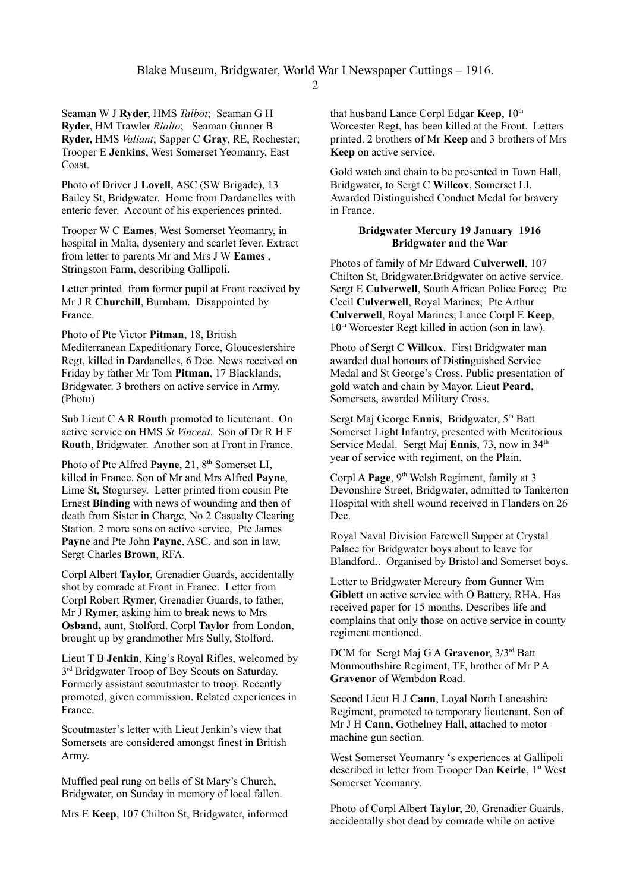Seaman W J **Ryder**, HMS *Talbot*; Seaman G H **Ryder**, HM Trawler *Rialto*; Seaman Gunner B **Ryder,** HMS *Valiant*; Sapper C **Gray**, RE, Rochester; Trooper E **Jenkins**, West Somerset Yeomanry, East Coast.

Photo of Driver J **Lovell**, ASC (SW Brigade), 13 Bailey St, Bridgwater. Home from Dardanelles with enteric fever. Account of his experiences printed.

Trooper W C **Eames**, West Somerset Yeomanry, in hospital in Malta, dysentery and scarlet fever. Extract from letter to parents Mr and Mrs J W **Eames** , Stringston Farm, describing Gallipoli.

Letter printed from former pupil at Front received by Mr J R **Churchill**, Burnham. Disappointed by France.

Photo of Pte Victor **Pitman**, 18, British Mediterranean Expeditionary Force, Gloucestershire Regt, killed in Dardanelles, 6 Dec. News received on Friday by father Mr Tom **Pitman**, 17 Blacklands, Bridgwater. 3 brothers on active service in Army. (Photo)

Sub Lieut C A R **Routh** promoted to lieutenant. On active service on HMS *St Vincent*. Son of Dr R H F **Routh**, Bridgwater. Another son at Front in France.

Photo of Pte Alfred Payne, 21, 8<sup>th</sup> Somerset LI, killed in France. Son of Mr and Mrs Alfred **Payne**, Lime St, Stogursey. Letter printed from cousin Pte Ernest **Binding** with news of wounding and then of death from Sister in Charge, No 2 Casualty Clearing Station. 2 more sons on active service, Pte James **Payne** and Pte John **Payne**, ASC, and son in law, Sergt Charles **Brown**, RFA.

Corpl Albert **Taylor**, Grenadier Guards, accidentally shot by comrade at Front in France. Letter from Corpl Robert **Rymer**, Grenadier Guards, to father, Mr J **Rymer**, asking him to break news to Mrs **Osband,** aunt, Stolford. Corpl **Taylor** from London, brought up by grandmother Mrs Sully, Stolford.

Lieut T B **Jenkin**, King's Royal Rifles, welcomed by 3<sup>rd</sup> Bridgwater Troop of Boy Scouts on Saturday. Formerly assistant scoutmaster to troop. Recently promoted, given commission. Related experiences in France.

Scoutmaster's letter with Lieut Jenkin's view that Somersets are considered amongst finest in British Army.

Muffled peal rung on bells of St Mary's Church, Bridgwater, on Sunday in memory of local fallen.

Mrs E **Keep**, 107 Chilton St, Bridgwater, informed

that husband Lance Corpl Edgar **Keep**,  $10^{th}$ Worcester Regt, has been killed at the Front. Letters printed. 2 brothers of Mr **Keep** and 3 brothers of Mrs **Keep** on active service.

Gold watch and chain to be presented in Town Hall, Bridgwater, to Sergt C **Willcox**, Somerset LI. Awarded Distinguished Conduct Medal for bravery in France.

#### **Bridgwater Mercury 19 January 1916 Bridgwater and the War**

Photos of family of Mr Edward **Culverwell**, 107 Chilton St, Bridgwater.Bridgwater on active service. Sergt E **Culverwell**, South African Police Force; Pte Cecil **Culverwell**, Royal Marines; Pte Arthur **Culverwell**, Royal Marines; Lance Corpl E **Keep**,  $10<sup>th</sup>$  Worcester Regt killed in action (son in law).

Photo of Sergt C **Willcox**. First Bridgwater man awarded dual honours of Distinguished Service Medal and St George's Cross. Public presentation of gold watch and chain by Mayor. Lieut **Peard**, Somersets, awarded Military Cross.

Sergt Maj George **Ennis**, Bridgwater, 5<sup>th</sup> Batt Somerset Light Infantry, presented with Meritorious Service Medal. Sergt Maj **Ennis**, 73, now in 34<sup>th</sup> year of service with regiment, on the Plain.

Corpl A **Page**, 9<sup>th</sup> Welsh Regiment, family at 3 Devonshire Street, Bridgwater, admitted to Tankerton Hospital with shell wound received in Flanders on 26 Dec.

Royal Naval Division Farewell Supper at Crystal Palace for Bridgwater boys about to leave for Blandford.. Organised by Bristol and Somerset boys.

Letter to Bridgwater Mercury from Gunner Wm **Giblett** on active service with O Battery, RHA. Has received paper for 15 months. Describes life and complains that only those on active service in county regiment mentioned.

DCM for Sergt Maj G A **Gravenor**, 3/3rd Batt Monmouthshire Regiment, TF, brother of Mr P A **Gravenor** of Wembdon Road.

Second Lieut H J **Cann**, Loyal North Lancashire Regiment, promoted to temporary lieutenant. Son of Mr J H **Cann**, Gothelney Hall, attached to motor machine gun section.

West Somerset Yeomanry 's experiences at Gallipoli described in letter from Trooper Dan Keirle, 1<sup>st</sup> West Somerset Yeomanry.

Photo of Corpl Albert **Taylor**, 20, Grenadier Guards, accidentally shot dead by comrade while on active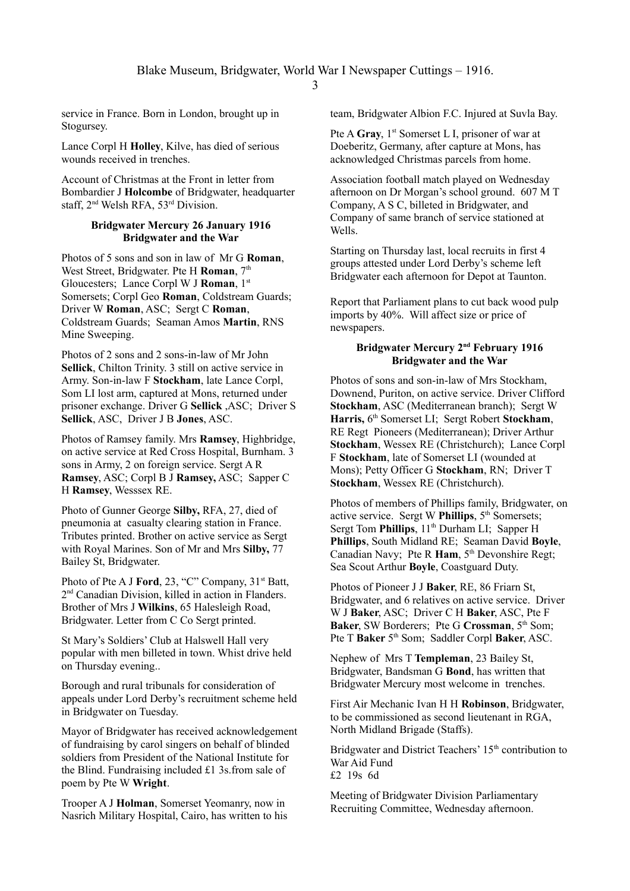service in France. Born in London, brought up in Stogursey.

Lance Corpl H **Holley**, Kilve, has died of serious wounds received in trenches.

Account of Christmas at the Front in letter from Bombardier J **Holcombe** of Bridgwater, headquarter staff, 2nd Welsh RFA, 53rd Division.

#### **Bridgwater Mercury 26 January 1916 Bridgwater and the War**

Photos of 5 sons and son in law of Mr G **Roman**, West Street, Bridgwater. Pte H **Roman**, 7<sup>th</sup> Gloucesters; Lance Corpl W J **Roman**, 1st Somersets; Corpl Geo **Roman**, Coldstream Guards; Driver W **Roman**, ASC; Sergt C **Roman**, Coldstream Guards; Seaman Amos **Martin**, RNS Mine Sweeping.

Photos of 2 sons and 2 sons-in-law of Mr John **Sellick**, Chilton Trinity. 3 still on active service in Army. Son-in-law F **Stockham**, late Lance Corpl, Som LI lost arm, captured at Mons, returned under prisoner exchange. Driver G **Sellick** ,ASC; Driver S **Sellick**, ASC, Driver J B **Jones**, ASC.

Photos of Ramsey family. Mrs **Ramsey**, Highbridge, on active service at Red Cross Hospital, Burnham. 3 sons in Army, 2 on foreign service. Sergt A R **Ramsey**, ASC; Corpl B J **Ramsey,** ASC; Sapper C H **Ramsey**, Wesssex RE.

Photo of Gunner George **Silby,** RFA, 27, died of pneumonia at casualty clearing station in France. Tributes printed. Brother on active service as Sergt with Royal Marines. Son of Mr and Mrs **Silby,** 77 Bailey St, Bridgwater.

Photo of Pte A J **Ford**, 23, "C" Company, 31<sup>st</sup> Batt, 2<sup>nd</sup> Canadian Division, killed in action in Flanders. Brother of Mrs J **Wilkins**, 65 Halesleigh Road, Bridgwater. Letter from C Co Sergt printed.

St Mary's Soldiers' Club at Halswell Hall very popular with men billeted in town. Whist drive held on Thursday evening..

Borough and rural tribunals for consideration of appeals under Lord Derby's recruitment scheme held in Bridgwater on Tuesday.

Mayor of Bridgwater has received acknowledgement of fundraising by carol singers on behalf of blinded soldiers from President of the National Institute for the Blind. Fundraising included £1 3s.from sale of poem by Pte W **Wright**.

Trooper A J **Holman**, Somerset Yeomanry, now in Nasrich Military Hospital, Cairo, has written to his team, Bridgwater Albion F.C. Injured at Suvla Bay.

Pte A **Gray**, 1<sup>st</sup> Somerset L I, prisoner of war at Doeberitz, Germany, after capture at Mons, has acknowledged Christmas parcels from home.

Association football match played on Wednesday afternoon on Dr Morgan's school ground. 607 M T Company, A S C, billeted in Bridgwater, and Company of same branch of service stationed at Wells.

Starting on Thursday last, local recruits in first 4 groups attested under Lord Derby's scheme left Bridgwater each afternoon for Depot at Taunton.

Report that Parliament plans to cut back wood pulp imports by 40%. Will affect size or price of newspapers.

### **Bridgwater Mercury 2<sup>nd</sup> February 1916 Bridgwater and the War**

Photos of sons and son-in-law of Mrs Stockham, Downend, Puriton, on active service. Driver Clifford **Stockham**, ASC (Mediterranean branch); Sergt W Harris, 6<sup>th</sup> Somerset LI; Sergt Robert Stockham, RE Regt Pioneers (Mediterranean); Driver Arthur **Stockham**, Wessex RE (Christchurch); Lance Corpl F **Stockham**, late of Somerset LI (wounded at Mons); Petty Officer G **Stockham**, RN; Driver T **Stockham**, Wessex RE (Christchurch).

Photos of members of Phillips family, Bridgwater, on active service. Sergt W **Phillips**,  $5<sup>th</sup>$  Somersets; Sergt Tom **Phillips**,  $11<sup>th</sup>$  Durham LI; Sapper H **Phillips**, South Midland RE; Seaman David **Boyle**, Canadian Navy; Pte R Ham, 5<sup>th</sup> Devonshire Regt; Sea Scout Arthur **Boyle**, Coastguard Duty.

Photos of Pioneer J J **Baker**, RE, 86 Friarn St, Bridgwater, and 6 relatives on active service. Driver W J **Baker**, ASC; Driver C H **Baker**, ASC, Pte F **Baker**, SW Borderers; Pte G **Crossman**, 5<sup>th</sup> Som; Pte T **Baker** 5<sup>th</sup> Som: Saddler Corpl **Baker**, ASC.

Nephew of Mrs T **Templeman**, 23 Bailey St, Bridgwater, Bandsman G **Bond**, has written that Bridgwater Mercury most welcome in trenches.

First Air Mechanic Ivan H H **Robinson**, Bridgwater, to be commissioned as second lieutenant in RGA, North Midland Brigade (Staffs).

Bridgwater and District Teachers' 15<sup>th</sup> contribution to War Aid Fund £2 19s 6d

Meeting of Bridgwater Division Parliamentary Recruiting Committee, Wednesday afternoon.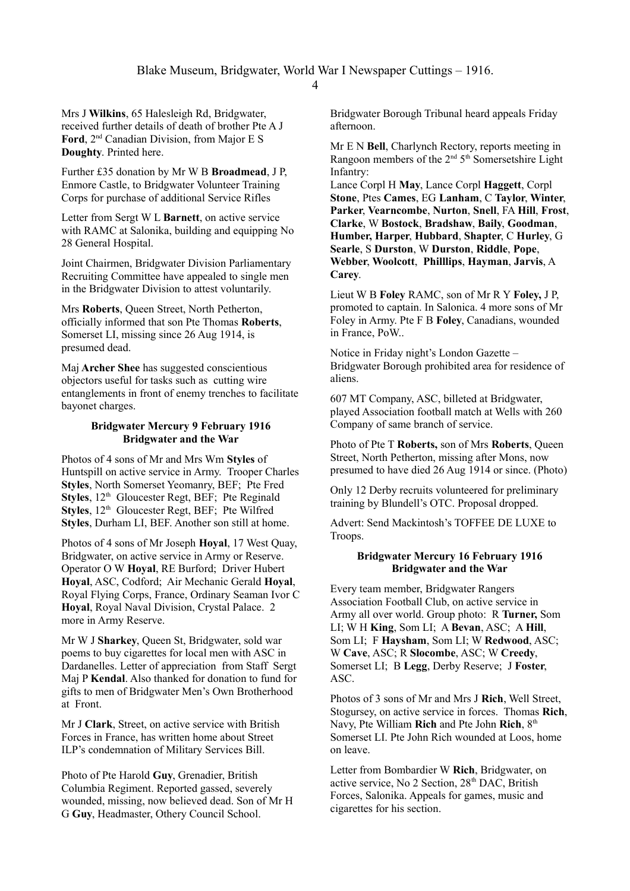Mrs J **Wilkins**, 65 Halesleigh Rd, Bridgwater, received further details of death of brother Pte A J **Ford**, 2nd Canadian Division, from Major E S **Doughty**. Printed here.

Further £35 donation by Mr W B **Broadmead**, J P, Enmore Castle, to Bridgwater Volunteer Training Corps for purchase of additional Service Rifles

Letter from Sergt W L **Barnett**, on active service with RAMC at Salonika, building and equipping No 28 General Hospital.

Joint Chairmen, Bridgwater Division Parliamentary Recruiting Committee have appealed to single men in the Bridgwater Division to attest voluntarily.

Mrs **Roberts**, Queen Street, North Petherton, officially informed that son Pte Thomas **Roberts**, Somerset LI, missing since 26 Aug 1914, is presumed dead.

Maj **Archer Shee** has suggested conscientious objectors useful for tasks such as cutting wire entanglements in front of enemy trenches to facilitate bayonet charges.

### **Bridgwater Mercury 9 February 1916 Bridgwater and the War**

Photos of 4 sons of Mr and Mrs Wm **Styles** of Huntspill on active service in Army. Trooper Charles **Styles**, North Somerset Yeomanry, BEF; Pte Fred **Styles**, 12<sup>th</sup> Gloucester Regt, BEF; Pte Reginald **Styles**, 12<sup>th</sup> Gloucester Regt, BEF; Pte Wilfred **Styles**, Durham LI, BEF. Another son still at home.

Photos of 4 sons of Mr Joseph **Hoyal**, 17 West Quay, Bridgwater, on active service in Army or Reserve. Operator O W **Hoyal**, RE Burford; Driver Hubert **Hoyal**, ASC, Codford; Air Mechanic Gerald **Hoyal**, Royal Flying Corps, France, Ordinary Seaman Ivor C **Hoyal**, Royal Naval Division, Crystal Palace. 2 more in Army Reserve.

Mr W J **Sharkey**, Queen St, Bridgwater, sold war poems to buy cigarettes for local men with ASC in Dardanelles. Letter of appreciation from Staff Sergt Maj P **Kendal**. Also thanked for donation to fund for gifts to men of Bridgwater Men's Own Brotherhood at Front.

Mr J **Clark**, Street, on active service with British Forces in France, has written home about Street ILP's condemnation of Military Services Bill.

Photo of Pte Harold **Guy**, Grenadier, British Columbia Regiment. Reported gassed, severely wounded, missing, now believed dead. Son of Mr H G **Guy**, Headmaster, Othery Council School.

Bridgwater Borough Tribunal heard appeals Friday afternoon.

Mr E N **Bell**, Charlynch Rectory, reports meeting in Rangoon members of the  $2<sup>nd</sup> 5<sup>th</sup>$  Somersetshire Light Infantry:

Lance Corpl H **May**, Lance Corpl **Haggett**, Corpl **Stone**, Ptes **Cames**, EG **Lanham**, C **Taylor**, **Winter**, **Parker**, **Vearncombe**, **Nurton**, **Snell**, FA **Hill**, **Frost**, **Clarke**, W **Bostock**, **Bradshaw**, **Baily**, **Goodman**, **Humber, Harper**, **Hubbard**, **Shapter**, C **Hurley**, G **Searle**, S **Durston**, W **Durston**, **Riddle**, **Pope**, **Webber**, **Woolcott**, **Philllips**, **Hayman**, **Jarvis**, A **Carey**.

Lieut W B **Foley** RAMC, son of Mr R Y **Foley,** J P, promoted to captain. In Salonica. 4 more sons of Mr Foley in Army. Pte F B **Foley**, Canadians, wounded in France, PoW..

Notice in Friday night's London Gazette – Bridgwater Borough prohibited area for residence of aliens.

607 MT Company, ASC, billeted at Bridgwater, played Association football match at Wells with 260 Company of same branch of service.

Photo of Pte T **Roberts,** son of Mrs **Roberts**, Queen Street, North Petherton, missing after Mons, now presumed to have died 26 Aug 1914 or since. (Photo)

Only 12 Derby recruits volunteered for preliminary training by Blundell's OTC. Proposal dropped.

Advert: Send Mackintosh's TOFFEE DE LUXE to Troops.

### **Bridgwater Mercury 16 February 1916 Bridgwater and the War**

Every team member, Bridgwater Rangers Association Football Club, on active service in Army all over world. Group photo: R **Turner,** Som LI; W H **King**, Som LI; A **Bevan**, ASC; A **Hill**, Som LI; F **Haysham**, Som LI; W **Redwood**, ASC; W **Cave**, ASC; R **Slocombe**, ASC; W **Creedy**, Somerset LI; B **Legg**, Derby Reserve; J **Foster**, ASC.

Photos of 3 sons of Mr and Mrs J **Rich**, Well Street, Stogursey, on active service in forces. Thomas **Rich**, Navy, Pte William **Rich** and Pte John **Rich**, 8<sup>th</sup> Somerset LI. Pte John Rich wounded at Loos, home on leave.

Letter from Bombardier W **Rich**, Bridgwater, on active service, No 2 Section, 28<sup>th</sup> DAC, British Forces, Salonika. Appeals for games, music and cigarettes for his section.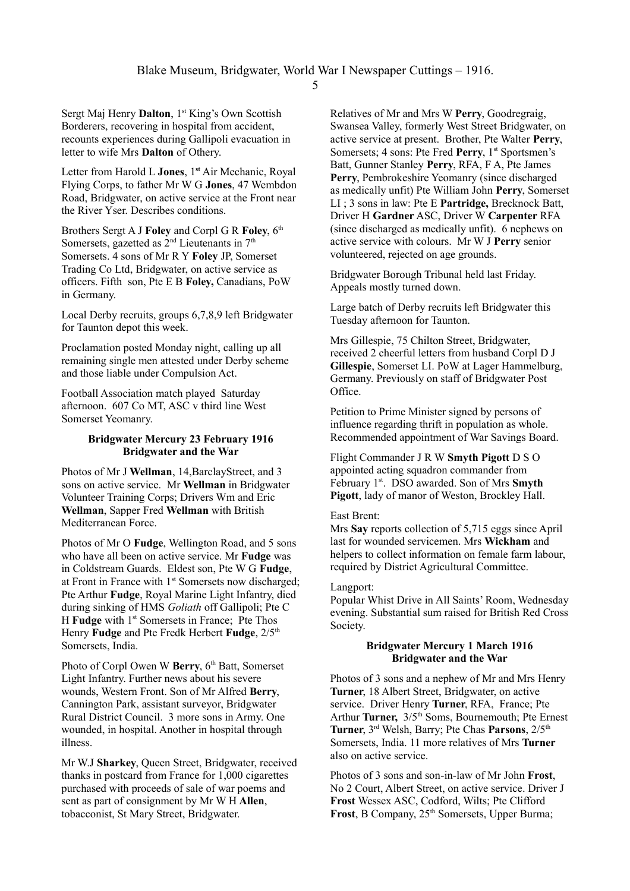Sergt Maj Henry **Dalton**, 1<sup>st</sup> King's Own Scottish Borderers, recovering in hospital from accident, recounts experiences during Gallipoli evacuation in letter to wife Mrs **Dalton** of Othery.

Letter from Harold L **Jones**, 1**st** Air Mechanic, Royal Flying Corps, to father Mr W G **Jones**, 47 Wembdon Road, Bridgwater, on active service at the Front near the River Yser. Describes conditions.

Brothers Sergt A J **Foley** and Corpl G R **Foley**, 6<sup>th</sup> Somersets, gazetted as  $2<sup>nd</sup>$  Lieutenants in  $7<sup>th</sup>$ Somersets. 4 sons of Mr R Y **Foley** JP, Somerset Trading Co Ltd, Bridgwater, on active service as officers. Fifth son, Pte E B **Foley,** Canadians, PoW in Germany.

Local Derby recruits, groups 6,7,8,9 left Bridgwater for Taunton depot this week.

Proclamation posted Monday night, calling up all remaining single men attested under Derby scheme and those liable under Compulsion Act.

Football Association match played Saturday afternoon. 607 Co MT, ASC v third line West Somerset Yeomanry.

#### **Bridgwater Mercury 23 February 1916 Bridgwater and the War**

Photos of Mr J **Wellman**, 14,BarclayStreet, and 3 sons on active service. Mr **Wellman** in Bridgwater Volunteer Training Corps; Drivers Wm and Eric **Wellman**, Sapper Fred **Wellman** with British Mediterranean Force.

Photos of Mr O **Fudge**, Wellington Road, and 5 sons who have all been on active service. Mr **Fudge** was in Coldstream Guards. Eldest son, Pte W G **Fudge**, at Front in France with  $1<sup>st</sup>$  Somersets now discharged; Pte Arthur **Fudge**, Royal Marine Light Infantry, died during sinking of HMS *Goliath* off Gallipoli; Pte C H **Fudge** with 1<sup>st</sup> Somersets in France; Pte Thos Henry **Fudge** and Pte Fredk Herbert **Fudge**,  $2/5$ <sup>th</sup> Somersets, India.

Photo of Corpl Owen W Berry, 6<sup>th</sup> Batt, Somerset Light Infantry. Further news about his severe wounds, Western Front. Son of Mr Alfred **Berry**, Cannington Park, assistant surveyor, Bridgwater Rural District Council. 3 more sons in Army. One wounded, in hospital. Another in hospital through illness.

Mr W.J **Sharkey**, Queen Street, Bridgwater, received thanks in postcard from France for 1,000 cigarettes purchased with proceeds of sale of war poems and sent as part of consignment by Mr W H **Allen**, tobacconist, St Mary Street, Bridgwater.

Relatives of Mr and Mrs W **Perry**, Goodregraig, Swansea Valley, formerly West Street Bridgwater, on active service at present. Brother, Pte Walter **Perry**, Somersets; 4 sons: Pte Fred Perry, 1<sup>st</sup> Sportsmen's Batt, Gunner Stanley **Perry**, RFA, F A, Pte James **Perry**, Pembrokeshire Yeomanry (since discharged as medically unfit) Pte William John **Perry**, Somerset LI ; 3 sons in law: Pte E **Partridge,** Brecknock Batt, Driver H **Gardner** ASC, Driver W **Carpenter** RFA (since discharged as medically unfit). 6 nephews on active service with colours. Mr W J **Perry** senior volunteered, rejected on age grounds.

Bridgwater Borough Tribunal held last Friday. Appeals mostly turned down.

Large batch of Derby recruits left Bridgwater this Tuesday afternoon for Taunton.

Mrs Gillespie, 75 Chilton Street, Bridgwater, received 2 cheerful letters from husband Corpl D J **Gillespie**, Somerset LI. PoW at Lager Hammelburg, Germany. Previously on staff of Bridgwater Post Office.

Petition to Prime Minister signed by persons of influence regarding thrift in population as whole. Recommended appointment of War Savings Board.

Flight Commander J R W **Smyth Pigott** D S O appointed acting squadron commander from February 1<sup>st</sup>. DSO awarded. Son of Mrs **Smyth Pigott**, lady of manor of Weston, Brockley Hall.

#### East Brent:

Mrs **Say** reports collection of 5,715 eggs since April last for wounded servicemen. Mrs **Wickham** and helpers to collect information on female farm labour, required by District Agricultural Committee.

#### Langport:

Popular Whist Drive in All Saints' Room, Wednesday evening. Substantial sum raised for British Red Cross Society.

#### **Bridgwater Mercury 1 March 1916 Bridgwater and the War**

Photos of 3 sons and a nephew of Mr and Mrs Henry **Turner**, 18 Albert Street, Bridgwater, on active service. Driver Henry **Turner**, RFA, France; Pte Arthur **Turner,**  $3/5$ <sup>th</sup> Soms, Bournemouth; Pte Ernest **Turner**, 3rd Welsh, Barry; Pte Chas **Parsons**, 2/5th Somersets, India. 11 more relatives of Mrs **Turner** also on active service.

Photos of 3 sons and son-in-law of Mr John **Frost**, No 2 Court, Albert Street, on active service. Driver J **Frost** Wessex ASC, Codford, Wilts; Pte Clifford Frost, B Company,  $25<sup>th</sup>$  Somersets, Upper Burma;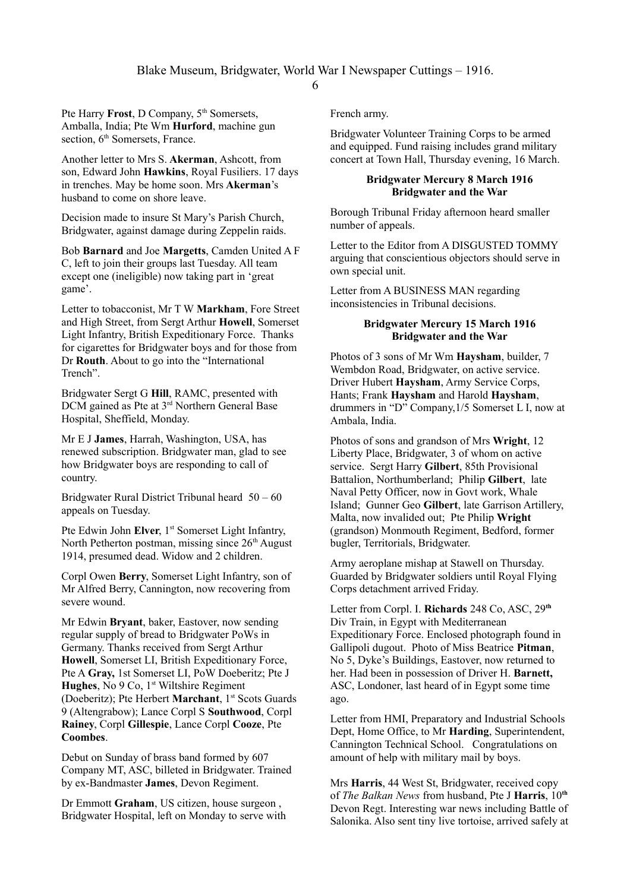Pte Harry **Frost**, D Company, 5<sup>th</sup> Somersets, Amballa, India; Pte Wm **Hurford**, machine gun section,  $6<sup>th</sup>$  Somersets, France.

Another letter to Mrs S. **Akerman**, Ashcott, from son, Edward John **Hawkins**, Royal Fusiliers. 17 days in trenches. May be home soon. Mrs **Akerman**'s husband to come on shore leave.

Decision made to insure St Mary's Parish Church, Bridgwater, against damage during Zeppelin raids.

Bob **Barnard** and Joe **Margetts**, Camden United A F C, left to join their groups last Tuesday. All team except one (ineligible) now taking part in 'great game'.

Letter to tobacconist, Mr T W **Markham**, Fore Street and High Street, from Sergt Arthur **Howell**, Somerset Light Infantry, British Expeditionary Force. Thanks for cigarettes for Bridgwater boys and for those from Dr **Routh**. About to go into the "International Trench".

Bridgwater Sergt G **Hill**, RAMC, presented with DCM gained as Pte at 3<sup>rd</sup> Northern General Base Hospital, Sheffield, Monday.

Mr E J **James**, Harrah, Washington, USA, has renewed subscription. Bridgwater man, glad to see how Bridgwater boys are responding to call of country.

Bridgwater Rural District Tribunal heard 50 – 60 appeals on Tuesday.

Pte Edwin John **Elver**, 1<sup>st</sup> Somerset Light Infantry, North Petherton postman, missing since  $26<sup>th</sup>$  August 1914, presumed dead. Widow and 2 children.

Corpl Owen **Berry**, Somerset Light Infantry, son of Mr Alfred Berry, Cannington, now recovering from severe wound.

Mr Edwin **Bryant**, baker, Eastover, now sending regular supply of bread to Bridgwater PoWs in Germany. Thanks received from Sergt Arthur **Howell**, Somerset LI, British Expeditionary Force, Pte A **Gray,** 1st Somerset LI, PoW Doeberitz; Pte J **Hughes**, No 9 Co, 1<sup>st</sup> Wiltshire Regiment (Doeberitz); Pte Herbert Marchant, 1<sup>st</sup> Scots Guards 9 (Altengrabow); Lance Corpl S **Southwood**, Corpl **Rainey**, Corpl **Gillespie**, Lance Corpl **Cooze**, Pte **Coombes**.

Debut on Sunday of brass band formed by 607 Company MT, ASC, billeted in Bridgwater. Trained by ex-Bandmaster **James**, Devon Regiment.

Dr Emmott **Graham**, US citizen, house surgeon , Bridgwater Hospital, left on Monday to serve with French army.

Bridgwater Volunteer Training Corps to be armed and equipped. Fund raising includes grand military concert at Town Hall, Thursday evening, 16 March.

### **Bridgwater Mercury 8 March 1916 Bridgwater and the War**

Borough Tribunal Friday afternoon heard smaller number of appeals.

Letter to the Editor from A DISGUSTED TOMMY arguing that conscientious objectors should serve in own special unit.

Letter from A BUSINESS MAN regarding inconsistencies in Tribunal decisions.

### **Bridgwater Mercury 15 March 1916 Bridgwater and the War**

Photos of 3 sons of Mr Wm **Haysham**, builder, 7 Wembdon Road, Bridgwater, on active service. Driver Hubert **Haysham**, Army Service Corps, Hants; Frank **Haysham** and Harold **Haysham**, drummers in "D" Company,1/5 Somerset L I, now at Ambala, India.

Photos of sons and grandson of Mrs **Wright**, 12 Liberty Place, Bridgwater, 3 of whom on active service. Sergt Harry **Gilbert**, 85th Provisional Battalion, Northumberland; Philip **Gilbert**, late Naval Petty Officer, now in Govt work, Whale Island; Gunner Geo **Gilbert**, late Garrison Artillery, Malta, now invalided out; Pte Philip **Wright** (grandson) Monmouth Regiment, Bedford, former bugler, Territorials, Bridgwater.

Army aeroplane mishap at Stawell on Thursday. Guarded by Bridgwater soldiers until Royal Flying Corps detachment arrived Friday.

Letter from Corpl. I. **Richards** 248 Co, ASC, 29**th** Div Train, in Egypt with Mediterranean Expeditionary Force. Enclosed photograph found in Gallipoli dugout. Photo of Miss Beatrice **Pitman**, No 5, Dyke's Buildings, Eastover, now returned to her. Had been in possession of Driver H. **Barnett,** ASC, Londoner, last heard of in Egypt some time ago.

Letter from HMI, Preparatory and Industrial Schools Dept, Home Office, to Mr **Harding**, Superintendent, Cannington Technical School. Congratulations on amount of help with military mail by boys.

Mrs **Harris**, 44 West St, Bridgwater, received copy of *The Balkan News* from husband, Pte J **Harris**, 10**th** Devon Regt. Interesting war news including Battle of Salonika. Also sent tiny live tortoise, arrived safely at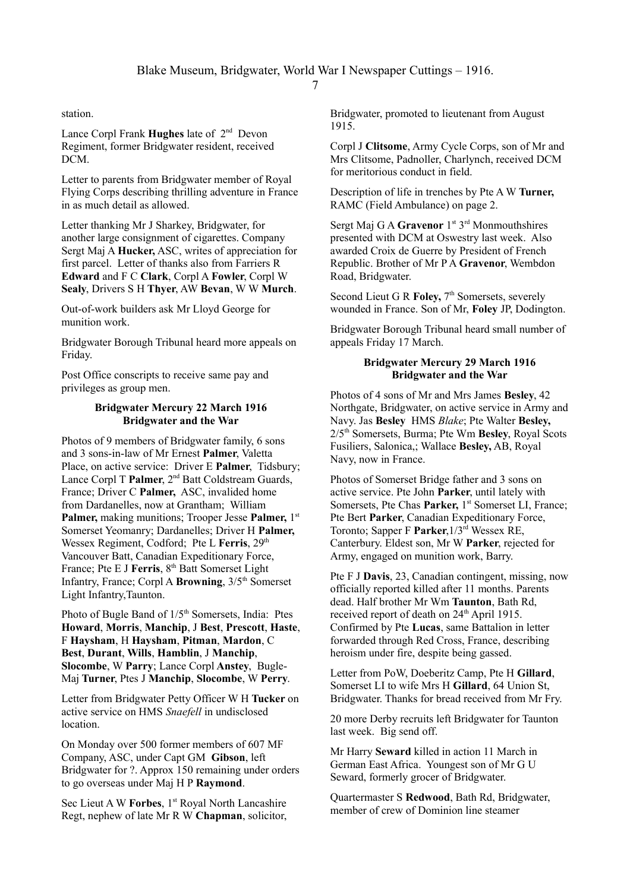station.

Lance Corpl Frank **Hughes** late of  $2^{nd}$  Devon Regiment, former Bridgwater resident, received DCM.

Letter to parents from Bridgwater member of Royal Flying Corps describing thrilling adventure in France in as much detail as allowed.

Letter thanking Mr J Sharkey, Bridgwater, for another large consignment of cigarettes. Company Sergt Maj A **Hucker,** ASC, writes of appreciation for first parcel. Letter of thanks also from Farriers R **Edward** and F C **Clark**, Corpl A **Fowler**, Corpl W **Sealy**, Drivers S H **Thyer**, AW **Bevan**, W W **Murch**.

Out-of-work builders ask Mr Lloyd George for munition work.

Bridgwater Borough Tribunal heard more appeals on Friday.

Post Office conscripts to receive same pay and privileges as group men.

### **Bridgwater Mercury 22 March 1916 Bridgwater and the War**

Photos of 9 members of Bridgwater family, 6 sons and 3 sons-in-law of Mr Ernest **Palmer**, Valetta Place, on active service: Driver E **Palmer**, Tidsbury; Lance Corpl T **Palmer**, 2<sup>nd</sup> Batt Coldstream Guards, France; Driver C **Palmer,** ASC, invalided home from Dardanelles, now at Grantham; William **Palmer, making munitions; Trooper Jesse Palmer, 1st** Somerset Yeomanry; Dardanelles; Driver H **Palmer,** Wessex Regiment, Codford; Pte L Ferris, 29<sup>th</sup> Vancouver Batt, Canadian Expeditionary Force, France; Pte E J **Ferris**, 8<sup>th</sup> Batt Somerset Light Infantry, France; Corpl A **Browning**,  $3/5<sup>th</sup>$  Somerset Light Infantry,Taunton.

Photo of Bugle Band of  $1/5<sup>th</sup>$  Somersets, India: Ptes **Howard**, **Morris**, **Manchip**, J **Best**, **Prescott**, **Haste**, F **Haysham**, H **Haysham**, **Pitman**, **Mardon**, C **Best**, **Durant**, **Wills**, **Hamblin**, J **Manchip**, **Slocombe**, W **Parry**; Lance Corpl **Anstey**, Bugle-Maj **Turner**, Ptes J **Manchip**, **Slocombe**, W **Perry**.

Letter from Bridgwater Petty Officer W H **Tucker** on active service on HMS *Snaefell* in undisclosed location.

On Monday over 500 former members of 607 MF Company, ASC, under Capt GM **Gibson**, left Bridgwater for ?. Approx 150 remaining under orders to go overseas under Maj H P **Raymond**.

Sec Lieut A W **Forbes**, 1<sup>st</sup> Royal North Lancashire Regt, nephew of late Mr R W **Chapman**, solicitor, Bridgwater, promoted to lieutenant from August 1915.

Corpl J **Clitsome**, Army Cycle Corps, son of Mr and Mrs Clitsome, Padnoller, Charlynch, received DCM for meritorious conduct in field.

Description of life in trenches by Pte A W **Turner,** RAMC (Field Ambulance) on page 2.

Sergt Maj G A **Gravenor** 1<sup>st</sup> 3<sup>rd</sup> Monmouthshires presented with DCM at Oswestry last week. Also awarded Croix de Guerre by President of French Republic. Brother of Mr P A **Gravenor**, Wembdon Road, Bridgwater.

Second Lieut G R **Foley**, 7<sup>th</sup> Somersets, severely wounded in France. Son of Mr, **Foley** JP, Dodington.

Bridgwater Borough Tribunal heard small number of appeals Friday 17 March.

### **Bridgwater Mercury 29 March 1916 Bridgwater and the War**

Photos of 4 sons of Mr and Mrs James **Besley**, 42 Northgate, Bridgwater, on active service in Army and Navy. Jas **Besley** HMS *Blake*; Pte Walter **Besley,** 2/5th Somersets, Burma; Pte Wm **Besley**, Royal Scots Fusiliers, Salonica,; Wallace **Besley,** AB, Royal Navy, now in France.

Photos of Somerset Bridge father and 3 sons on active service. Pte John **Parker**, until lately with Somersets, Pte Chas **Parker,** 1<sup>st</sup> Somerset LL France: Pte Bert **Parker**, Canadian Expeditionary Force, Toronto; Sapper F **Parker**,1/3rd Wessex RE, Canterbury. Eldest son, Mr W **Parker**, rejected for Army, engaged on munition work, Barry.

Pte F J **Davis**, 23, Canadian contingent, missing, now officially reported killed after 11 months. Parents dead. Half brother Mr Wm **Taunton**, Bath Rd, received report of death on 24<sup>th</sup> April 1915. Confirmed by Pte **Lucas**, same Battalion in letter forwarded through Red Cross, France, describing heroism under fire, despite being gassed.

Letter from PoW, Doeberitz Camp, Pte H **Gillard**, Somerset LI to wife Mrs H **Gillard**, 64 Union St, Bridgwater. Thanks for bread received from Mr Fry.

20 more Derby recruits left Bridgwater for Taunton last week. Big send off.

Mr Harry **Seward** killed in action 11 March in German East Africa. Youngest son of Mr G U Seward, formerly grocer of Bridgwater.

Quartermaster S **Redwood**, Bath Rd, Bridgwater, member of crew of Dominion line steamer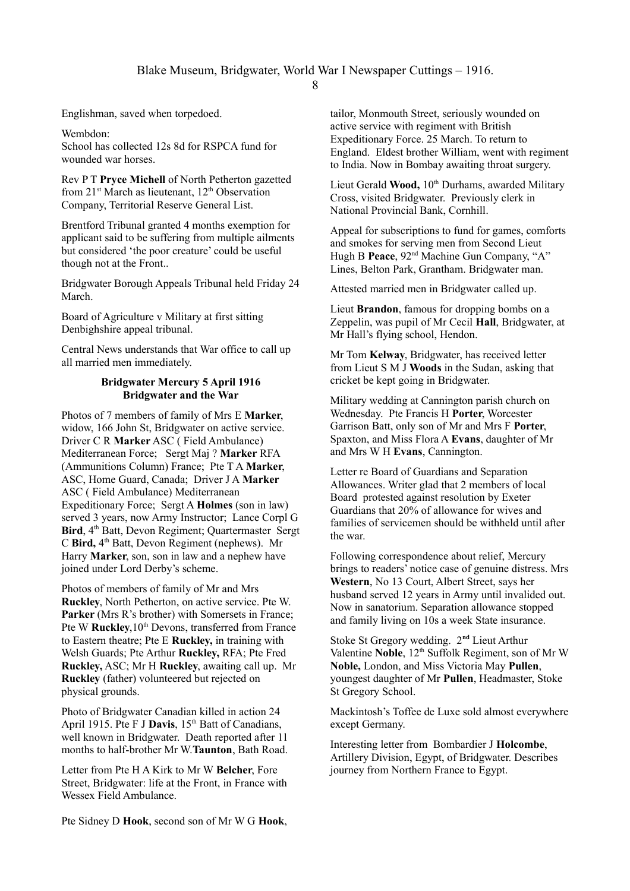Englishman, saved when torpedoed.

Wembdon: School has collected 12s 8d for RSPCA fund for wounded war horses.

Rev P T **Pryce Michell** of North Petherton gazetted from  $21^{st}$  March as lieutenant,  $12^{th}$  Observation Company, Territorial Reserve General List.

Brentford Tribunal granted 4 months exemption for applicant said to be suffering from multiple ailments but considered 'the poor creature' could be useful though not at the Front..

Bridgwater Borough Appeals Tribunal held Friday 24 March.

Board of Agriculture v Military at first sitting Denbighshire appeal tribunal.

Central News understands that War office to call up all married men immediately.

### **Bridgwater Mercury 5 April 1916 Bridgwater and the War**

Photos of 7 members of family of Mrs E **Marker**, widow, 166 John St, Bridgwater on active service. Driver C R **Marker** ASC ( Field Ambulance) Mediterranean Force; Sergt Maj ? **Marker** RFA (Ammunitions Column) France; Pte T A **Marker**, ASC, Home Guard, Canada; Driver J A **Marker** ASC ( Field Ambulance) Mediterranean Expeditionary Force; Sergt A **Holmes** (son in law) served 3 years, now Army Instructor; Lance Corpl G Bird, 4<sup>th</sup> Batt, Devon Regiment; Quartermaster Sergt C **Bird,** 4th Batt, Devon Regiment (nephews). Mr Harry **Marker**, son, son in law and a nephew have joined under Lord Derby's scheme.

Photos of members of family of Mr and Mrs **Ruckley**, North Petherton, on active service. Pte W. **Parker** (Mrs R's brother) with Somersets in France; Pte W **Ruckley**, 10<sup>th</sup> Devons, transferred from France to Eastern theatre; Pte E **Ruckley,** in training with Welsh Guards; Pte Arthur **Ruckley,** RFA; Pte Fred **Ruckley,** ASC; Mr H **Ruckley**, awaiting call up. Mr **Ruckley** (father) volunteered but rejected on physical grounds.

Photo of Bridgwater Canadian killed in action 24 April 1915. Pte F J **Davis**, 15<sup>th</sup> Batt of Canadians, well known in Bridgwater. Death reported after 11 months to half-brother Mr W.**Taunton**, Bath Road.

Letter from Pte H A Kirk to Mr W **Belcher**, Fore Street, Bridgwater: life at the Front, in France with Wessex Field Ambulance

Pte Sidney D **Hook**, second son of Mr W G **Hook**,

tailor, Monmouth Street, seriously wounded on active service with regiment with British Expeditionary Force. 25 March. To return to England. Eldest brother William, went with regiment to India. Now in Bombay awaiting throat surgery.

Lieut Gerald Wood, 10<sup>th</sup> Durhams, awarded Military Cross, visited Bridgwater. Previously clerk in National Provincial Bank, Cornhill.

Appeal for subscriptions to fund for games, comforts and smokes for serving men from Second Lieut Hugh B Peace, 92<sup>nd</sup> Machine Gun Company, "A" Lines, Belton Park, Grantham. Bridgwater man.

Attested married men in Bridgwater called up.

Lieut **Brandon**, famous for dropping bombs on a Zeppelin, was pupil of Mr Cecil **Hall**, Bridgwater, at Mr Hall's flying school, Hendon.

Mr Tom **Kelway**, Bridgwater, has received letter from Lieut S M J **Woods** in the Sudan, asking that cricket be kept going in Bridgwater.

Military wedding at Cannington parish church on Wednesday. Pte Francis H **Porter**, Worcester Garrison Batt, only son of Mr and Mrs F **Porter**, Spaxton, and Miss Flora A **Evans**, daughter of Mr and Mrs W H **Evans**, Cannington.

Letter re Board of Guardians and Separation Allowances. Writer glad that 2 members of local Board protested against resolution by Exeter Guardians that 20% of allowance for wives and families of servicemen should be withheld until after the war.

Following correspondence about relief, Mercury brings to readers' notice case of genuine distress. Mrs **Western**, No 13 Court, Albert Street, says her husband served 12 years in Army until invalided out. Now in sanatorium. Separation allowance stopped and family living on 10s a week State insurance.

Stoke St Gregory wedding. 2**nd** Lieut Arthur Valentine Noble, 12<sup>th</sup> Suffolk Regiment, son of Mr W **Noble,** London, and Miss Victoria May **Pullen**, youngest daughter of Mr **Pullen**, Headmaster, Stoke St Gregory School.

Mackintosh's Toffee de Luxe sold almost everywhere except Germany.

Interesting letter from Bombardier J **Holcombe**, Artillery Division, Egypt, of Bridgwater. Describes journey from Northern France to Egypt.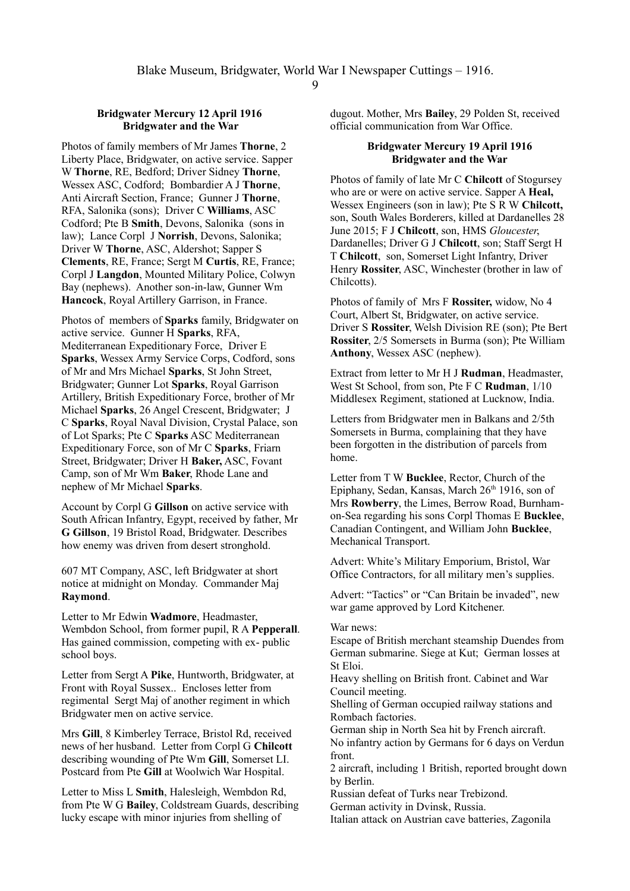#### **Bridgwater Mercury 12 April 1916 Bridgwater and the War**

Photos of family members of Mr James **Thorne**, 2 Liberty Place, Bridgwater, on active service. Sapper W **Thorne**, RE, Bedford; Driver Sidney **Thorne**, Wessex ASC, Codford; Bombardier A J **Thorne**, Anti Aircraft Section, France; Gunner J **Thorne**, RFA, Salonika (sons); Driver C **Williams**, ASC Codford; Pte B **Smith**, Devons, Salonika (sons in law); Lance Corpl J **Norrish**, Devons, Salonika; Driver W **Thorne**, ASC, Aldershot; Sapper S **Clements**, RE, France; Sergt M **Curtis**, RE, France; Corpl J **Langdon**, Mounted Military Police, Colwyn Bay (nephews). Another son-in-law, Gunner Wm **Hancock**, Royal Artillery Garrison, in France.

Photos of members of **Sparks** family, Bridgwater on active service. Gunner H **Sparks**, RFA, Mediterranean Expeditionary Force, Driver E **Sparks**, Wessex Army Service Corps, Codford, sons of Mr and Mrs Michael **Sparks**, St John Street, Bridgwater; Gunner Lot **Sparks**, Royal Garrison Artillery, British Expeditionary Force, brother of Mr Michael **Sparks**, 26 Angel Crescent, Bridgwater; J C **Sparks**, Royal Naval Division, Crystal Palace, son of Lot Sparks; Pte C **Sparks** ASC Mediterranean Expeditionary Force, son of Mr C **Sparks**, Friarn Street, Bridgwater; Driver H **Baker,** ASC, Fovant Camp, son of Mr Wm **Baker**, Rhode Lane and nephew of Mr Michael **Sparks**.

Account by Corpl G **Gillson** on active service with South African Infantry, Egypt, received by father, Mr **G Gillson**, 19 Bristol Road, Bridgwater. Describes how enemy was driven from desert stronghold.

607 MT Company, ASC, left Bridgwater at short notice at midnight on Monday. Commander Maj **Raymond**.

Letter to Mr Edwin **Wadmore**, Headmaster, Wembdon School, from former pupil, R A **Pepperall**. Has gained commission, competing with ex- public school boys.

Letter from Sergt A **Pike**, Huntworth, Bridgwater, at Front with Royal Sussex.. Encloses letter from regimental Sergt Maj of another regiment in which Bridgwater men on active service.

Mrs **Gill**, 8 Kimberley Terrace, Bristol Rd, received news of her husband. Letter from Corpl G **Chilcott** describing wounding of Pte Wm **Gill**, Somerset LI. Postcard from Pte **Gill** at Woolwich War Hospital.

Letter to Miss L **Smith**, Halesleigh, Wembdon Rd, from Pte W G **Bailey**, Coldstream Guards, describing lucky escape with minor injuries from shelling of

dugout. Mother, Mrs **Bailey**, 29 Polden St, received official communication from War Office.

#### **Bridgwater Mercury 19 April 1916 Bridgwater and the War**

Photos of family of late Mr C **Chilcott** of Stogursey who are or were on active service. Sapper A **Heal,** Wessex Engineers (son in law); Pte S R W **Chilcott,** son, South Wales Borderers, killed at Dardanelles 28 June 2015; F J **Chilcott**, son, HMS *Gloucester*, Dardanelles; Driver G J **Chilcott**, son; Staff Sergt H T **Chilcott**, son, Somerset Light Infantry, Driver Henry **Rossiter**, ASC, Winchester (brother in law of Chilcotts).

Photos of family of Mrs F **Rossiter,** widow, No 4 Court, Albert St, Bridgwater, on active service. Driver S **Rossiter**, Welsh Division RE (son); Pte Bert **Rossiter**, 2/5 Somersets in Burma (son); Pte William **Anthony**, Wessex ASC (nephew).

Extract from letter to Mr H J **Rudman**, Headmaster, West St School, from son, Pte F C **Rudman**, 1/10 Middlesex Regiment, stationed at Lucknow, India.

Letters from Bridgwater men in Balkans and 2/5th Somersets in Burma, complaining that they have been forgotten in the distribution of parcels from home.

Letter from T W **Bucklee**, Rector, Church of the Epiphany, Sedan, Kansas, March  $26<sup>th</sup> 1916$ , son of Mrs **Rowberry**, the Limes, Berrow Road, Burnhamon-Sea regarding his sons Corpl Thomas E **Bucklee**, Canadian Contingent, and William John **Bucklee**, Mechanical Transport.

Advert: White's Military Emporium, Bristol, War Office Contractors, for all military men's supplies.

Advert: "Tactics" or "Can Britain be invaded", new war game approved by Lord Kitchener.

#### War news:

Escape of British merchant steamship Duendes from German submarine. Siege at Kut; German losses at St Eloi.

Heavy shelling on British front. Cabinet and War Council meeting.

Shelling of German occupied railway stations and Rombach factories.

German ship in North Sea hit by French aircraft. No infantry action by Germans for 6 days on Verdun front.

2 aircraft, including 1 British, reported brought down by Berlin.

Russian defeat of Turks near Trebizond.

German activity in Dvinsk, Russia.

Italian attack on Austrian cave batteries, Zagonila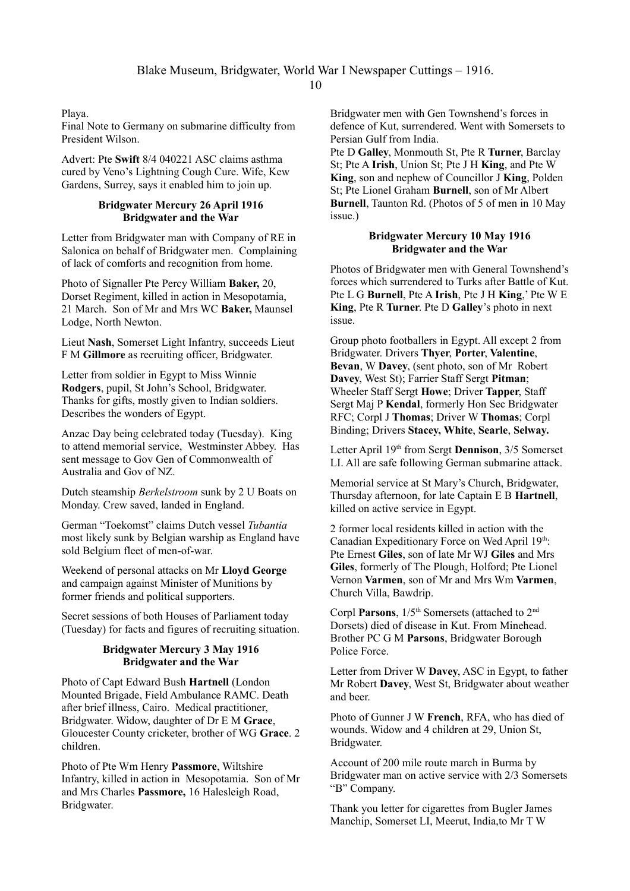Playa.

Final Note to Germany on submarine difficulty from President Wilson.

Advert: Pte **Swift** 8/4 040221 ASC claims asthma cured by Veno's Lightning Cough Cure. Wife, Kew Gardens, Surrey, says it enabled him to join up.

# **Bridgwater Mercury 26 April 1916 Bridgwater and the War**

Letter from Bridgwater man with Company of RE in Salonica on behalf of Bridgwater men. Complaining of lack of comforts and recognition from home.

Photo of Signaller Pte Percy William **Baker,** 20, Dorset Regiment, killed in action in Mesopotamia, 21 March. Son of Mr and Mrs WC **Baker,** Maunsel Lodge, North Newton.

Lieut **Nash**, Somerset Light Infantry, succeeds Lieut F M **Gillmore** as recruiting officer, Bridgwater.

Letter from soldier in Egypt to Miss Winnie **Rodgers**, pupil, St John's School, Bridgwater. Thanks for gifts, mostly given to Indian soldiers. Describes the wonders of Egypt.

Anzac Day being celebrated today (Tuesday). King to attend memorial service, Westminster Abbey. Has sent message to Gov Gen of Commonwealth of Australia and Gov of NZ.

Dutch steamship *Berkelstroom* sunk by 2 U Boats on Monday. Crew saved, landed in England.

German "Toekomst" claims Dutch vessel *Tubantia* most likely sunk by Belgian warship as England have sold Belgium fleet of men-of-war.

Weekend of personal attacks on Mr **Lloyd George** and campaign against Minister of Munitions by former friends and political supporters.

Secret sessions of both Houses of Parliament today (Tuesday) for facts and figures of recruiting situation.

# **Bridgwater Mercury 3 May 1916 Bridgwater and the War**

Photo of Capt Edward Bush **Hartnell** (London Mounted Brigade, Field Ambulance RAMC. Death after brief illness, Cairo. Medical practitioner, Bridgwater. Widow, daughter of Dr E M **Grace**, Gloucester County cricketer, brother of WG **Grace**. 2 children.

Photo of Pte Wm Henry **Passmore**, Wiltshire Infantry, killed in action in Mesopotamia. Son of Mr and Mrs Charles **Passmore,** 16 Halesleigh Road, Bridgwater.

Bridgwater men with Gen Townshend's forces in defence of Kut, surrendered. Went with Somersets to Persian Gulf from India.

Pte D **Galley**, Monmouth St, Pte R **Turner**, Barclay St; Pte A **Irish**, Union St; Pte J H **King**, and Pte W **King**, son and nephew of Councillor J **King**, Polden St; Pte Lionel Graham **Burnell**, son of Mr Albert **Burnell**, Taunton Rd. (Photos of 5 of men in 10 May issue.)

### **Bridgwater Mercury 10 May 1916 Bridgwater and the War**

Photos of Bridgwater men with General Townshend's forces which surrendered to Turks after Battle of Kut. Pte L G **Burnell**, Pte A **Irish**, Pte J H **King**,' Pte W E **King**, Pte R **Turner**. Pte D **Galley**'s photo in next issue.

Group photo footballers in Egypt. All except 2 from Bridgwater. Drivers **Thyer**, **Porter**, **Valentine**, **Bevan**, W **Davey**, (sent photo, son of Mr Robert **Davey**, West St); Farrier Staff Sergt **Pitman**; Wheeler Staff Sergt **Howe**; Driver **Tapper**, Staff Sergt Maj P **Kendal**, formerly Hon Sec Bridgwater RFC; Corpl J **Thomas**; Driver W **Thomas**; Corpl Binding; Drivers **Stacey, White**, **Searle**, **Selway.**

Letter April 19<sup>th</sup> from Sergt **Dennison**, 3/5 Somerset LI. All are safe following German submarine attack.

Memorial service at St Mary's Church, Bridgwater, Thursday afternoon, for late Captain E B **Hartnell**, killed on active service in Egypt.

2 former local residents killed in action with the Canadian Expeditionary Force on Wed April 19th: Pte Ernest **Giles**, son of late Mr WJ **Giles** and Mrs **Giles**, formerly of The Plough, Holford; Pte Lionel Vernon **Varmen**, son of Mr and Mrs Wm **Varmen**, Church Villa, Bawdrip.

Corpl **Parsons**,  $1/5$ <sup>th</sup> Somersets (attached to 2<sup>nd</sup> Dorsets) died of disease in Kut. From Minehead. Brother PC G M **Parsons**, Bridgwater Borough Police Force.

Letter from Driver W **Davey**, ASC in Egypt, to father Mr Robert **Davey**, West St, Bridgwater about weather and beer.

Photo of Gunner J W **French**, RFA, who has died of wounds. Widow and 4 children at 29, Union St, Bridgwater.

Account of 200 mile route march in Burma by Bridgwater man on active service with 2/3 Somersets "B" Company.

Thank you letter for cigarettes from Bugler James Manchip, Somerset LI, Meerut, India,to Mr T W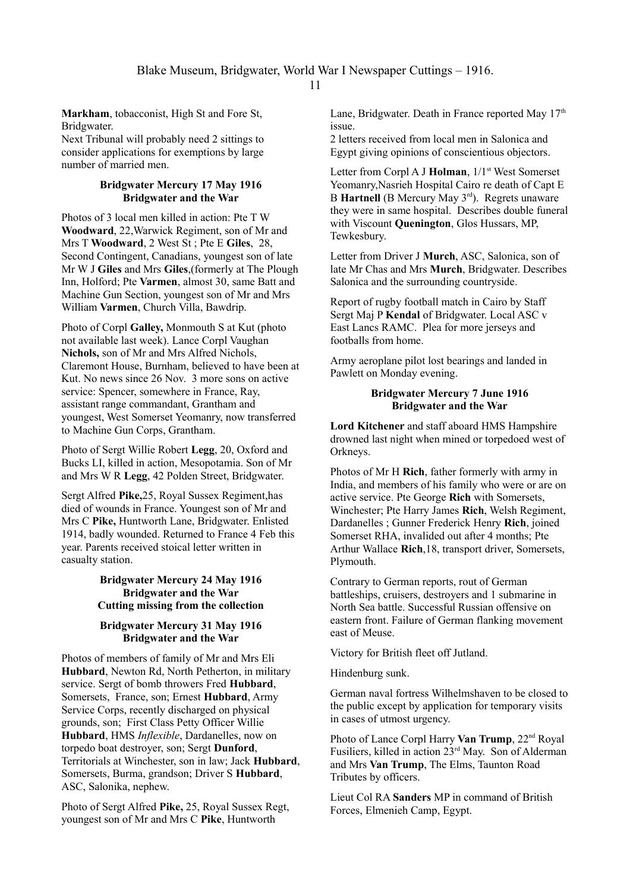**Markham**, tobacconist, High St and Fore St, Bridgwater.

Next Tribunal will probably need 2 sittings to consider applications for exemptions by large number of married men.

# **Bridgwater Mercury 17 May 1916 Bridgwater and the War**

Photos of 3 local men killed in action: Pte T W **Woodward**, 22,Warwick Regiment, son of Mr and Mrs T **Woodward**, 2 West St ; Pte E **Giles**, 28, Second Contingent, Canadians, youngest son of late Mr W J **Giles** and Mrs **Giles**,(formerly at The Plough Inn, Holford; Pte **Varmen**, almost 30, same Batt and Machine Gun Section, youngest son of Mr and Mrs William **Varmen**, Church Villa, Bawdrip.

Photo of Corpl **Galley,** Monmouth S at Kut (photo not available last week). Lance Corpl Vaughan **Nichols,** son of Mr and Mrs Alfred Nichols, Claremont House, Burnham, believed to have been at Kut. No news since 26 Nov. 3 more sons on active service: Spencer, somewhere in France, Ray, assistant range commandant, Grantham and youngest, West Somerset Yeomanry, now transferred to Machine Gun Corps, Grantham.

Photo of Sergt Willie Robert **Legg**, 20, Oxford and Bucks LI, killed in action, Mesopotamia. Son of Mr and Mrs W R **Legg**, 42 Polden Street, Bridgwater.

Sergt Alfred **Pike,**25, Royal Sussex Regiment,has died of wounds in France. Youngest son of Mr and Mrs C **Pike,** Huntworth Lane, Bridgwater. Enlisted 1914, badly wounded. Returned to France 4 Feb this year. Parents received stoical letter written in casualty station.

# **Bridgwater Mercury 24 May 1916 Bridgwater and the War Cutting missing from the collection**

# **Bridgwater Mercury 31 May 1916 Bridgwater and the War**

Photos of members of family of Mr and Mrs Eli **Hubbard**, Newton Rd, North Petherton, in military service. Sergt of bomb throwers Fred **Hubbard**, Somersets, France, son; Ernest **Hubbard**, Army Service Corps, recently discharged on physical grounds, son; First Class Petty Officer Willie **Hubbard**, HMS *Inflexible*, Dardanelles, now on torpedo boat destroyer, son; Sergt **Dunford**, Territorials at Winchester, son in law; Jack **Hubbard**, Somersets, Burma, grandson; Driver S **Hubbard**, ASC, Salonika, nephew.

Photo of Sergt Alfred **Pike,** 25, Royal Sussex Regt, youngest son of Mr and Mrs C **Pike**, Huntworth

Lane, Bridgwater. Death in France reported May  $17<sup>th</sup>$ issue.

2 letters received from local men in Salonica and Egypt giving opinions of conscientious objectors.

Letter from Corpl A J **Holman**,  $1/1$ <sup>st</sup> West Somerset Yeomanry,Nasrieh Hospital Cairo re death of Capt E B **Hartnell** (B Mercury May 3<sup>rd</sup>). Regrets unaware they were in same hospital. Describes double funeral with Viscount **Quenington**, Glos Hussars, MP, Tewkesbury.

Letter from Driver J **Murch**, ASC, Salonica, son of late Mr Chas and Mrs **Murch**, Bridgwater. Describes Salonica and the surrounding countryside.

Report of rugby football match in Cairo by Staff Sergt Maj P **Kendal** of Bridgwater. Local ASC v East Lancs RAMC. Plea for more jerseys and footballs from home.

Army aeroplane pilot lost bearings and landed in Pawlett on Monday evening.

# **Bridgwater Mercury 7 June 1916 Bridgwater and the War**

**Lord Kitchener** and staff aboard HMS Hampshire drowned last night when mined or torpedoed west of Orkneys.

Photos of Mr H **Rich**, father formerly with army in India, and members of his family who were or are on active service. Pte George **Rich** with Somersets, Winchester; Pte Harry James **Rich**, Welsh Regiment, Dardanelles ; Gunner Frederick Henry **Rich**, joined Somerset RHA, invalided out after 4 months; Pte Arthur Wallace **Rich**,18, transport driver, Somersets, Plymouth.

Contrary to German reports, rout of German battleships, cruisers, destroyers and 1 submarine in North Sea battle. Successful Russian offensive on eastern front. Failure of German flanking movement east of Meuse.

Victory for British fleet off Jutland.

Hindenburg sunk.

German naval fortress Wilhelmshaven to be closed to the public except by application for temporary visits in cases of utmost urgency.

Photo of Lance Corpl Harry **Van Trump**,  $22<sup>nd</sup>$  Royal Fusiliers, killed in action 23rd May. Son of Alderman and Mrs **Van Trump**, The Elms, Taunton Road Tributes by officers.

Lieut Col RA **Sanders** MP in command of British Forces, Elmenieh Camp, Egypt.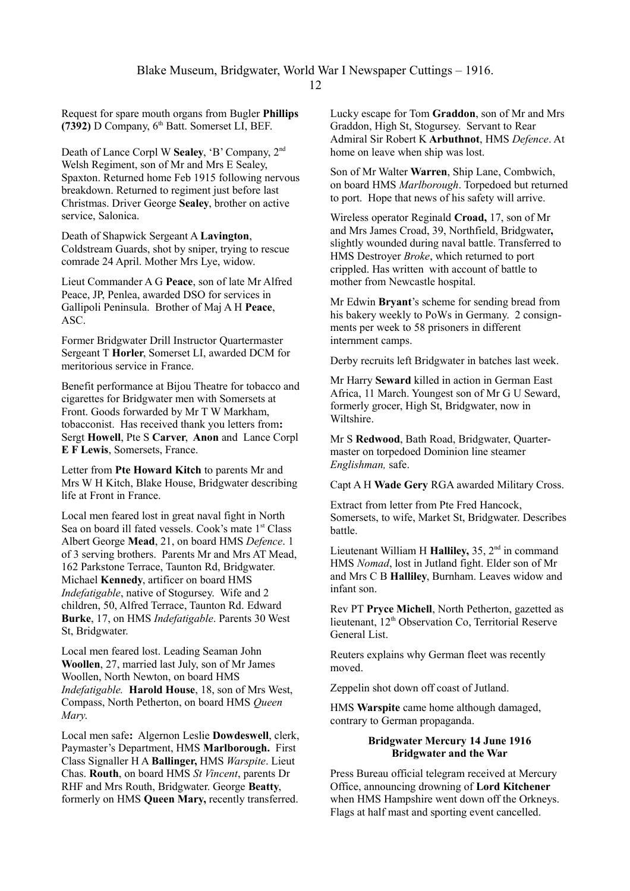Request for spare mouth organs from Bugler **Phillips (7392)** D Company, 6th Batt. Somerset LI, BEF.

Death of Lance Corpl W **Sealey**, 'B' Company, 2nd Welsh Regiment, son of Mr and Mrs E Sealey, Spaxton. Returned home Feb 1915 following nervous breakdown. Returned to regiment just before last Christmas. Driver George **Sealey**, brother on active service, Salonica.

Death of Shapwick Sergeant A **Lavington**, Coldstream Guards, shot by sniper, trying to rescue comrade 24 April. Mother Mrs Lye, widow.

Lieut Commander A G **Peace**, son of late Mr Alfred Peace, JP, Penlea, awarded DSO for services in Gallipoli Peninsula. Brother of Maj A H **Peace**, ASC.

Former Bridgwater Drill Instructor Quartermaster Sergeant T **Horler**, Somerset LI, awarded DCM for meritorious service in France.

Benefit performance at Bijou Theatre for tobacco and cigarettes for Bridgwater men with Somersets at Front. Goods forwarded by Mr T W Markham, tobacconist. Has received thank you letters from**:**  Sergt **Howell**, Pte S **Carver**, **Anon** and Lance Corpl **E F Lewis**, Somersets, France.

Letter from **Pte Howard Kitch** to parents Mr and Mrs W H Kitch, Blake House, Bridgwater describing life at Front in France.

Local men feared lost in great naval fight in North Sea on board ill fated vessels. Cook's mate 1<sup>st</sup> Class Albert George **Mead**, 21, on board HMS *Defence*. 1 of 3 serving brothers. Parents Mr and Mrs AT Mead, 162 Parkstone Terrace, Taunton Rd, Bridgwater. Michael **Kennedy**, artificer on board HMS *Indefatigable*, native of Stogursey. Wife and 2 children, 50, Alfred Terrace, Taunton Rd. Edward **Burke**, 17, on HMS *Indefatigable*. Parents 30 West St, Bridgwater.

Local men feared lost. Leading Seaman John **Woollen**, 27, married last July, son of Mr James Woollen, North Newton, on board HMS *Indefatigable.* **Harold House**, 18, son of Mrs West, Compass, North Petherton, on board HMS *Queen Mary*.

Local men safe**:** Algernon Leslie **Dowdeswell**, clerk, Paymaster's Department, HMS **Marlborough.** First Class Signaller H A **Ballinger,** HMS *Warspite*. Lieut Chas. **Routh**, on board HMS *St Vincent*, parents Dr RHF and Mrs Routh, Bridgwater. George **Beatty**, formerly on HMS **Queen Mary,** recently transferred. Lucky escape for Tom **Graddon**, son of Mr and Mrs Graddon, High St, Stogursey. Servant to Rear Admiral Sir Robert K **Arbuthnot**, HMS *Defence*. At home on leave when ship was lost.

Son of Mr Walter **Warren**, Ship Lane, Combwich, on board HMS *Marlborough*. Torpedoed but returned to port. Hope that news of his safety will arrive.

Wireless operator Reginald **Croad,** 17, son of Mr and Mrs James Croad, 39, Northfield, Bridgwater**,** slightly wounded during naval battle. Transferred to HMS Destroyer *Broke*, which returned to port crippled. Has written with account of battle to mother from Newcastle hospital.

Mr Edwin **Bryant**'s scheme for sending bread from his bakery weekly to PoWs in Germany. 2 consignments per week to 58 prisoners in different internment camps.

Derby recruits left Bridgwater in batches last week.

Mr Harry **Seward** killed in action in German East Africa, 11 March. Youngest son of Mr G U Seward, formerly grocer, High St, Bridgwater, now in Wiltshire.

Mr S **Redwood**, Bath Road, Bridgwater, Quartermaster on torpedoed Dominion line steamer *Englishman,* safe.

Capt A H **Wade Gery** RGA awarded Military Cross.

Extract from letter from Pte Fred Hancock, Somersets, to wife, Market St, Bridgwater. Describes battle.

Lieutenant William H **Halliley**, 35, 2<sup>nd</sup> in command HMS *Nomad*, lost in Jutland fight. Elder son of Mr and Mrs C B **Halliley**, Burnham. Leaves widow and infant son.

Rev PT **Pryce Michell**, North Petherton, gazetted as lieutenant, 12<sup>th</sup> Observation Co, Territorial Reserve General List.

Reuters explains why German fleet was recently moved.

Zeppelin shot down off coast of Jutland.

HMS **Warspite** came home although damaged, contrary to German propaganda.

### **Bridgwater Mercury 14 June 1916 Bridgwater and the War**

Press Bureau official telegram received at Mercury Office, announcing drowning of **Lord Kitchener** when HMS Hampshire went down off the Orkneys. Flags at half mast and sporting event cancelled.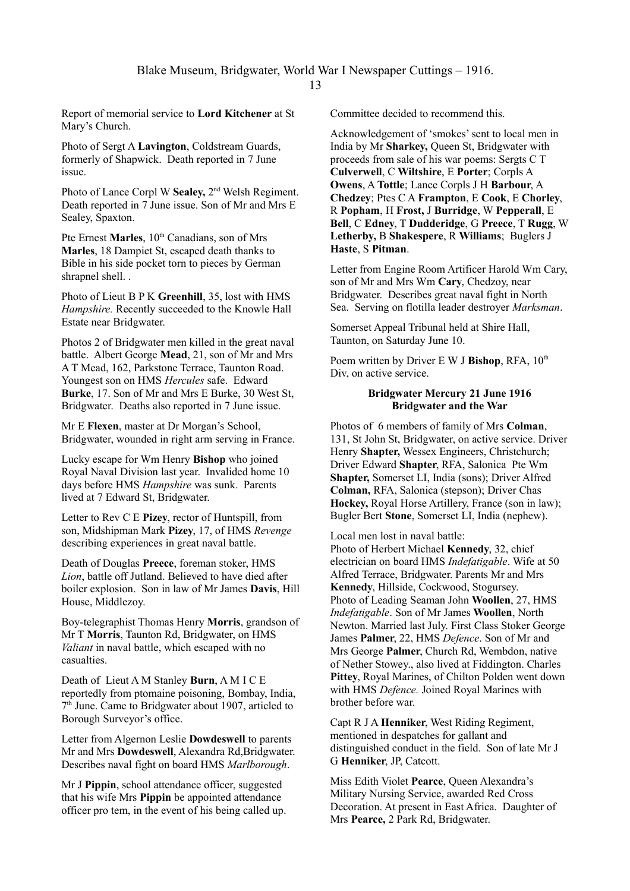Report of memorial service to **Lord Kitchener** at St Mary's Church.

Photo of Sergt A **Lavington**, Coldstream Guards, formerly of Shapwick. Death reported in 7 June issue.

Photo of Lance Corpl W **Sealey,** 2nd Welsh Regiment. Death reported in 7 June issue. Son of Mr and Mrs E Sealey, Spaxton.

Pte Ernest Marles, 10<sup>th</sup> Canadians, son of Mrs **Marles**, 18 Dampiet St, escaped death thanks to Bible in his side pocket torn to pieces by German shrapnel shell. .

Photo of Lieut B P K **Greenhill**, 35, lost with HMS *Hampshire.* Recently succeeded to the Knowle Hall Estate near Bridgwater.

Photos 2 of Bridgwater men killed in the great naval battle. Albert George **Mead**, 21, son of Mr and Mrs A T Mead, 162, Parkstone Terrace, Taunton Road. Youngest son on HMS *Hercules* safe. Edward **Burke**, 17. Son of Mr and Mrs E Burke, 30 West St, Bridgwater. Deaths also reported in 7 June issue.

Mr E **Flexen**, master at Dr Morgan's School, Bridgwater, wounded in right arm serving in France.

Lucky escape for Wm Henry **Bishop** who joined Royal Naval Division last year. Invalided home 10 days before HMS *Hampshire* was sunk. Parents lived at 7 Edward St, Bridgwater.

Letter to Rev C E **Pizey**, rector of Huntspill, from son, Midshipman Mark **Pizey**, 17, of HMS *Revenge* describing experiences in great naval battle.

Death of Douglas **Preece**, foreman stoker, HMS *Lion*, battle off Jutland. Believed to have died after boiler explosion. Son in law of Mr James **Davis**, Hill House, Middlezoy.

Boy-telegraphist Thomas Henry **Morris**, grandson of Mr T **Morris**, Taunton Rd, Bridgwater, on HMS *Valiant* in naval battle, which escaped with no casualties.

Death of Lieut A M Stanley **Burn**, A M I C E reportedly from ptomaine poisoning, Bombay, India, 7 th June. Came to Bridgwater about 1907, articled to Borough Surveyor's office.

Letter from Algernon Leslie **Dowdeswell** to parents Mr and Mrs **Dowdeswell**, Alexandra Rd,Bridgwater. Describes naval fight on board HMS *Marlborough*.

Mr J **Pippin**, school attendance officer, suggested that his wife Mrs **Pippin** be appointed attendance officer pro tem, in the event of his being called up. Committee decided to recommend this.

Acknowledgement of 'smokes' sent to local men in India by Mr **Sharkey,** Queen St, Bridgwater with proceeds from sale of his war poems: Sergts C T **Culverwell**, C **Wiltshire**, E **Porter**; Corpls A **Owens**, A **Tottle**; Lance Corpls J H **Barbour**, A **Chedzey**; Ptes C A **Frampton**, E **Cook**, E **Chorley**, R **Popham**, H **Frost,** J **Burridge**, W **Pepperall**, E **Bell**, C **Edney**, T **Dudderidge**, G **Preece**, T **Rugg**, W **Letherby,** B **Shakespere**, R **Williams**; Buglers J **Haste**, S **Pitman**.

Letter from Engine Room Artificer Harold Wm Cary, son of Mr and Mrs Wm **Cary**, Chedzoy, near Bridgwater. Describes great naval fight in North Sea. Serving on flotilla leader destroyer *Marksman*.

Somerset Appeal Tribunal held at Shire Hall, Taunton, on Saturday June 10.

Poem written by Driver E W J Bishop, RFA,  $10^{th}$ Div, on active service.

### **Bridgwater Mercury 21 June 1916 Bridgwater and the War**

Photos of 6 members of family of Mrs **Colman**, 131, St John St, Bridgwater, on active service. Driver Henry **Shapter,** Wessex Engineers, Christchurch; Driver Edward **Shapter**, RFA, Salonica Pte Wm **Shapter,** Somerset LI, India (sons); Driver Alfred **Colman,** RFA, Salonica (stepson); Driver Chas **Hockey,** Royal Horse Artillery, France (son in law); Bugler Bert **Stone**, Somerset LI, India (nephew).

Local men lost in naval battle: Photo of Herbert Michael **Kennedy**, 32, chief electrician on board HMS *Indefatigable*. Wife at 50 Alfred Terrace, Bridgwater. Parents Mr and Mrs **Kennedy**, Hillside, Cockwood, Stogursey. Photo of Leading Seaman John **Woollen**, 27, HMS *Indefatigable*. Son of Mr James **Woollen**, North Newton. Married last July. First Class Stoker George James **Palmer**, 22, HMS *Defence*. Son of Mr and Mrs George **Palmer**, Church Rd, Wembdon, native of Nether Stowey., also lived at Fiddington. Charles **Pittey**, Royal Marines, of Chilton Polden went down with HMS *Defence.* Joined Royal Marines with brother before war.

Capt R J A **Henniker**, West Riding Regiment, mentioned in despatches for gallant and distinguished conduct in the field. Son of late Mr J G **Henniker**, JP, Catcott.

Miss Edith Violet **Pearce**, Queen Alexandra's Military Nursing Service, awarded Red Cross Decoration. At present in East Africa. Daughter of Mrs **Pearce,** 2 Park Rd, Bridgwater.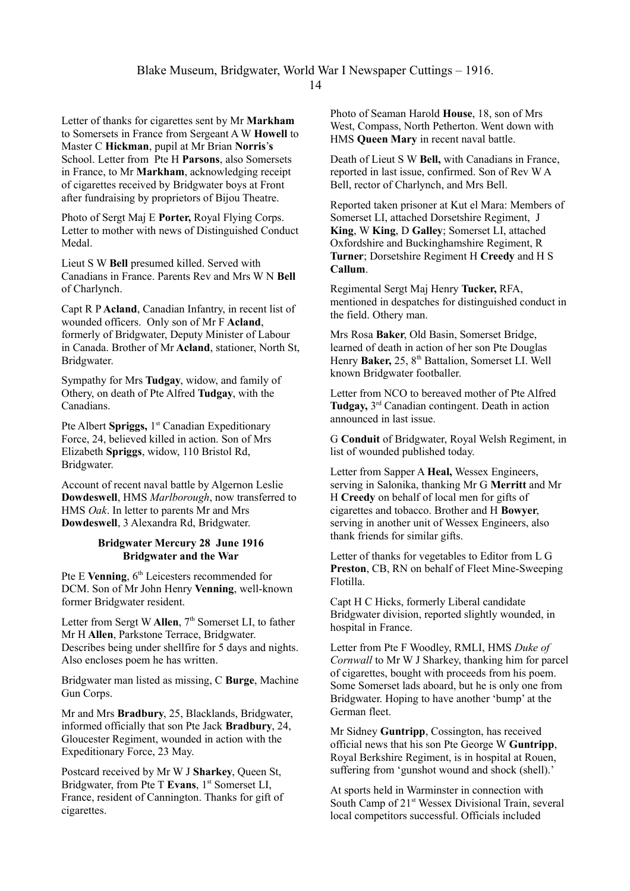Letter of thanks for cigarettes sent by Mr **Markham** to Somersets in France from Sergeant A W **Howell** to Master C **Hickman**, pupil at Mr Brian **Norris**'**s** School. Letter from Pte H **Parsons**, also Somersets in France, to Mr **Markham**, acknowledging receipt of cigarettes received by Bridgwater boys at Front after fundraising by proprietors of Bijou Theatre.

Photo of Sergt Maj E **Porter,** Royal Flying Corps. Letter to mother with news of Distinguished Conduct Medal.

Lieut S W **Bell** presumed killed. Served with Canadians in France. Parents Rev and Mrs W N **Bell** of Charlynch.

Capt R P **Acland**, Canadian Infantry, in recent list of wounded officers. Only son of Mr F **Acland**, formerly of Bridgwater, Deputy Minister of Labour in Canada. Brother of Mr **Acland**, stationer, North St, Bridgwater.

Sympathy for Mrs **Tudgay**, widow, and family of Othery, on death of Pte Alfred **Tudgay**, with the Canadians.

Pte Albert **Spriggs,** 1<sup>st</sup> Canadian Expeditionary Force, 24, believed killed in action. Son of Mrs Elizabeth **Spriggs**, widow, 110 Bristol Rd, Bridgwater.

Account of recent naval battle by Algernon Leslie **Dowdeswell**, HMS *Marlborough*, now transferred to HMS *Oak*. In letter to parents Mr and Mrs **Dowdeswell**, 3 Alexandra Rd, Bridgwater.

### **Bridgwater Mercury 28 June 1916 Bridgwater and the War**

Pte E **Venning**, 6<sup>th</sup> Leicesters recommended for DCM. Son of Mr John Henry **Venning**, well-known former Bridgwater resident.

Letter from Sergt W **Allen**, 7<sup>th</sup> Somerset LI, to father Mr H **Allen**, Parkstone Terrace, Bridgwater. Describes being under shellfire for 5 days and nights. Also encloses poem he has written.

Bridgwater man listed as missing, C **Burge**, Machine Gun Corps.

Mr and Mrs **Bradbury**, 25, Blacklands, Bridgwater, informed officially that son Pte Jack **Bradbury**, 24, Gloucester Regiment, wounded in action with the Expeditionary Force, 23 May.

Postcard received by Mr W J **Sharkey**, Queen St, Bridgwater, from Pte T Evans, 1<sup>st</sup> Somerset LI, France, resident of Cannington. Thanks for gift of cigarettes.

Photo of Seaman Harold **House**, 18, son of Mrs West, Compass, North Petherton. Went down with HMS **Queen Mary** in recent naval battle.

Death of Lieut S W **Bell,** with Canadians in France, reported in last issue, confirmed. Son of Rev W A Bell, rector of Charlynch, and Mrs Bell.

Reported taken prisoner at Kut el Mara: Members of Somerset LI, attached Dorsetshire Regiment, J **King**, W **King**, D **Galley**; Somerset LI, attached Oxfordshire and Buckinghamshire Regiment, R **Turner**; Dorsetshire Regiment H **Creedy** and H S **Callum**.

Regimental Sergt Maj Henry **Tucker,** RFA, mentioned in despatches for distinguished conduct in the field. Othery man.

Mrs Rosa **Baker**, Old Basin, Somerset Bridge, learned of death in action of her son Pte Douglas Henry Baker, 25, 8<sup>th</sup> Battalion, Somerset LI. Well known Bridgwater footballer.

Letter from NCO to bereaved mother of Pte Alfred **Tudgay,** 3rd Canadian contingent. Death in action announced in last issue.

G **Conduit** of Bridgwater, Royal Welsh Regiment, in list of wounded published today.

Letter from Sapper A **Heal,** Wessex Engineers, serving in Salonika, thanking Mr G **Merritt** and Mr H **Creedy** on behalf of local men for gifts of cigarettes and tobacco. Brother and H **Bowyer**, serving in another unit of Wessex Engineers, also thank friends for similar gifts.

Letter of thanks for vegetables to Editor from L G **Preston**, CB, RN on behalf of Fleet Mine-Sweeping Flotilla.

Capt H C Hicks, formerly Liberal candidate Bridgwater division, reported slightly wounded, in hospital in France.

Letter from Pte F Woodley, RMLI, HMS *Duke of Cornwall* to Mr W J Sharkey, thanking him for parcel of cigarettes, bought with proceeds from his poem. Some Somerset lads aboard, but he is only one from Bridgwater. Hoping to have another 'bump' at the German fleet.

Mr Sidney **Guntripp**, Cossington, has received official news that his son Pte George W **Guntripp**, Royal Berkshire Regiment, is in hospital at Rouen, suffering from 'gunshot wound and shock (shell).'

At sports held in Warminster in connection with South Camp of 21<sup>st</sup> Wessex Divisional Train, several local competitors successful. Officials included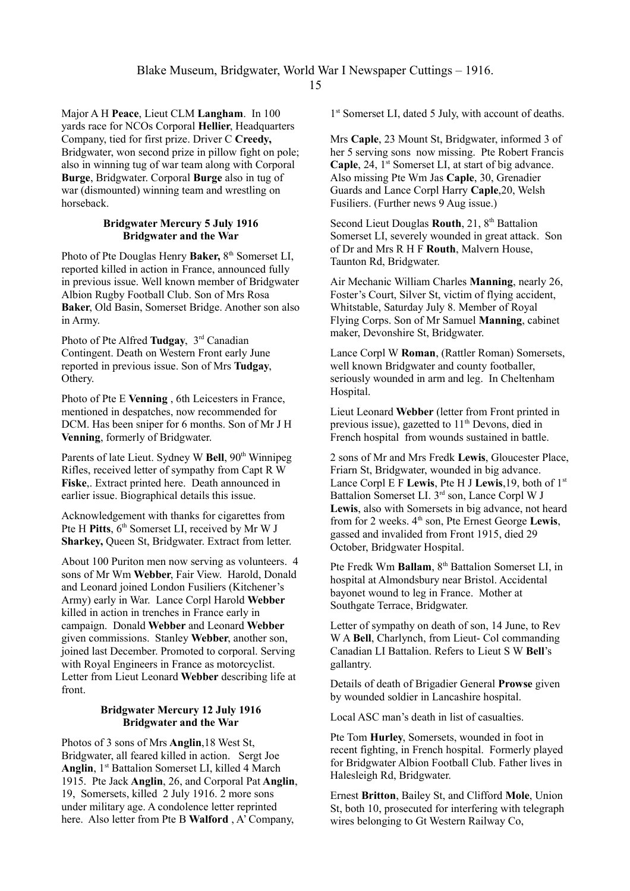Major A H **Peace**, Lieut CLM **Langham**. In 100 yards race for NCOs Corporal **Hellier**, Headquarters Company, tied for first prize. Driver C **Creedy,** Bridgwater, won second prize in pillow fight on pole; also in winning tug of war team along with Corporal **Burge**, Bridgwater. Corporal **Burge** also in tug of war (dismounted) winning team and wrestling on horseback.

#### **Bridgwater Mercury 5 July 1916 Bridgwater and the War**

Photo of Pte Douglas Henry Baker, 8<sup>th</sup> Somerset LI, reported killed in action in France, announced fully in previous issue. Well known member of Bridgwater Albion Rugby Football Club. Son of Mrs Rosa **Baker**, Old Basin, Somerset Bridge. Another son also in Army.

Photo of Pte Alfred **Tudgay**, 3<sup>rd</sup> Canadian Contingent. Death on Western Front early June reported in previous issue. Son of Mrs **Tudgay**, Othery.

Photo of Pte E **Venning** , 6th Leicesters in France, mentioned in despatches, now recommended for DCM. Has been sniper for 6 months. Son of Mr J H **Venning**, formerly of Bridgwater.

Parents of late Lieut. Sydney W Bell, 90<sup>th</sup> Winnipeg Rifles, received letter of sympathy from Capt R W **Fiske**,. Extract printed here. Death announced in earlier issue. Biographical details this issue.

Acknowledgement with thanks for cigarettes from Pte H **Pitts**, 6<sup>th</sup> Somerset LL received by Mr W J **Sharkey,** Queen St, Bridgwater. Extract from letter.

About 100 Puriton men now serving as volunteers. 4 sons of Mr Wm **Webber**, Fair View. Harold, Donald and Leonard joined London Fusiliers (Kitchener's Army) early in War. Lance Corpl Harold **Webber** killed in action in trenches in France early in campaign. Donald **Webber** and Leonard **Webber** given commissions. Stanley **Webber**, another son, joined last December. Promoted to corporal. Serving with Royal Engineers in France as motorcyclist. Letter from Lieut Leonard **Webber** describing life at front.

# **Bridgwater Mercury 12 July 1916 Bridgwater and the War**

Photos of 3 sons of Mrs **Anglin**,18 West St, Bridgwater, all feared killed in action. Sergt Joe Anglin, 1<sup>st</sup> Battalion Somerset LI, killed 4 March 1915. Pte Jack **Anglin**, 26, and Corporal Pat **Anglin**, 19, Somersets, killed 2 July 1916. 2 more sons under military age. A condolence letter reprinted here. Also letter from Pte B **Walford** , A' Company,

1 st Somerset LI, dated 5 July, with account of deaths.

Mrs **Caple**, 23 Mount St, Bridgwater, informed 3 of her 5 serving sons now missing. Pte Robert Francis **Caple**, 24, 1<sup>st</sup> Somerset LI, at start of big advance. Also missing Pte Wm Jas **Caple**, 30, Grenadier Guards and Lance Corpl Harry **Caple**,20, Welsh Fusiliers. (Further news 9 Aug issue.)

Second Lieut Douglas **Routh**, 21, 8<sup>th</sup> Battalion Somerset LI, severely wounded in great attack. Son of Dr and Mrs R H F **Routh**, Malvern House, Taunton Rd, Bridgwater.

Air Mechanic William Charles **Manning**, nearly 26, Foster's Court, Silver St, victim of flying accident, Whitstable, Saturday July 8. Member of Royal Flying Corps. Son of Mr Samuel **Manning**, cabinet maker, Devonshire St, Bridgwater.

Lance Corpl W **Roman**, (Rattler Roman) Somersets, well known Bridgwater and county footballer, seriously wounded in arm and leg. In Cheltenham Hospital.

Lieut Leonard **Webber** (letter from Front printed in previous issue), gazetted to  $11<sup>th</sup>$  Devons, died in French hospital from wounds sustained in battle.

2 sons of Mr and Mrs Fredk **Lewis**, Gloucester Place, Friarn St, Bridgwater, wounded in big advance. Lance Corpl E F **Lewis**, Pte H J **Lewis**,19, both of 1st Battalion Somerset LI. 3rd son, Lance Corpl W J **Lewis**, also with Somersets in big advance, not heard from for 2 weeks. 4th son, Pte Ernest George **Lewis**, gassed and invalided from Front 1915, died 29 October, Bridgwater Hospital.

Pte Fredk Wm **Ballam**, 8<sup>th</sup> Battalion Somerset LI, in hospital at Almondsbury near Bristol. Accidental bayonet wound to leg in France. Mother at Southgate Terrace, Bridgwater.

Letter of sympathy on death of son, 14 June, to Rev W A **Bell**, Charlynch, from Lieut- Col commanding Canadian LI Battalion. Refers to Lieut S W **Bell**'s gallantry.

Details of death of Brigadier General **Prowse** given by wounded soldier in Lancashire hospital.

Local ASC man's death in list of casualties.

Pte Tom **Hurley**, Somersets, wounded in foot in recent fighting, in French hospital. Formerly played for Bridgwater Albion Football Club. Father lives in Halesleigh Rd, Bridgwater.

Ernest **Britton**, Bailey St, and Clifford **Mole**, Union St, both 10, prosecuted for interfering with telegraph wires belonging to Gt Western Railway Co,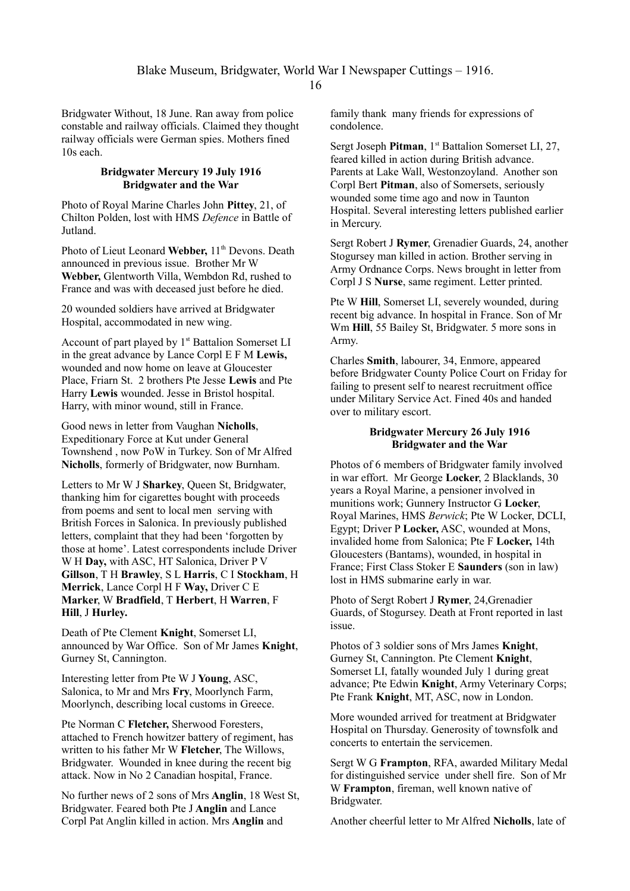Bridgwater Without, 18 June. Ran away from police constable and railway officials. Claimed they thought railway officials were German spies. Mothers fined 10s each.

### **Bridgwater Mercury 19 July 1916 Bridgwater and the War**

Photo of Royal Marine Charles John **Pittey**, 21, of Chilton Polden, lost with HMS *Defence* in Battle of **Jutland** 

Photo of Lieut Leonard Webber, 11<sup>th</sup> Devons. Death announced in previous issue. Brother Mr W **Webber,** Glentworth Villa, Wembdon Rd, rushed to France and was with deceased just before he died.

20 wounded soldiers have arrived at Bridgwater Hospital, accommodated in new wing.

Account of part played by  $1<sup>st</sup>$  Battalion Somerset LI in the great advance by Lance Corpl E F M **Lewis,** wounded and now home on leave at Gloucester Place, Friarn St. 2 brothers Pte Jesse **Lewis** and Pte Harry **Lewis** wounded. Jesse in Bristol hospital. Harry, with minor wound, still in France.

Good news in letter from Vaughan **Nicholls**, Expeditionary Force at Kut under General Townshend , now PoW in Turkey. Son of Mr Alfred **Nicholls**, formerly of Bridgwater, now Burnham.

Letters to Mr W J **Sharkey**, Queen St, Bridgwater, thanking him for cigarettes bought with proceeds from poems and sent to local men serving with British Forces in Salonica. In previously published letters, complaint that they had been 'forgotten by those at home'. Latest correspondents include Driver W H **Day,** with ASC, HT Salonica, Driver P V **Gillson**, T H **Brawley**, S L **Harris**, C I **Stockham**, H **Merrick**, Lance Corpl H F **Way,** Driver C E **Marker**, W **Bradfield**, T **Herbert**, H **Warren**, F **Hill**, J **Hurley.**

Death of Pte Clement **Knight**, Somerset LI, announced by War Office. Son of Mr James **Knight**, Gurney St, Cannington.

Interesting letter from Pte W J **Young**, ASC, Salonica, to Mr and Mrs **Fry**, Moorlynch Farm, Moorlynch, describing local customs in Greece.

Pte Norman C **Fletcher,** Sherwood Foresters, attached to French howitzer battery of regiment, has written to his father Mr W **Fletcher**, The Willows, Bridgwater. Wounded in knee during the recent big attack. Now in No 2 Canadian hospital, France.

No further news of 2 sons of Mrs **Anglin**, 18 West St, Bridgwater. Feared both Pte J **Anglin** and Lance Corpl Pat Anglin killed in action. Mrs **Anglin** and

family thank many friends for expressions of condolence.

Sergt Joseph **Pitman**, 1<sup>st</sup> Battalion Somerset LI, 27, feared killed in action during British advance. Parents at Lake Wall, Westonzoyland. Another son Corpl Bert **Pitman**, also of Somersets, seriously wounded some time ago and now in Taunton Hospital. Several interesting letters published earlier in Mercury.

Sergt Robert J **Rymer**, Grenadier Guards, 24, another Stogursey man killed in action. Brother serving in Army Ordnance Corps. News brought in letter from Corpl J S **Nurse**, same regiment. Letter printed.

Pte W **Hill**, Somerset LI, severely wounded, during recent big advance. In hospital in France. Son of Mr Wm **Hill**, 55 Bailey St, Bridgwater. 5 more sons in Army.

Charles **Smith**, labourer, 34, Enmore, appeared before Bridgwater County Police Court on Friday for failing to present self to nearest recruitment office under Military Service Act. Fined 40s and handed over to military escort.

# **Bridgwater Mercury 26 July 1916 Bridgwater and the War**

Photos of 6 members of Bridgwater family involved in war effort. Mr George **Locker**, 2 Blacklands, 30 years a Royal Marine, a pensioner involved in munitions work; Gunnery Instructor G **Locker**, Royal Marines, HMS *Berwick*; Pte W Locker, DCLI, Egypt; Driver P **Locker,** ASC, wounded at Mons, invalided home from Salonica; Pte F **Locker,** 14th Gloucesters (Bantams), wounded, in hospital in France; First Class Stoker E **Saunders** (son in law) lost in HMS submarine early in war.

Photo of Sergt Robert J **Rymer**, 24,Grenadier Guards, of Stogursey. Death at Front reported in last issue.

Photos of 3 soldier sons of Mrs James **Knight**, Gurney St, Cannington. Pte Clement **Knight**, Somerset LI, fatally wounded July 1 during great advance; Pte Edwin **Knight**, Army Veterinary Corps; Pte Frank **Knight**, MT, ASC, now in London.

More wounded arrived for treatment at Bridgwater Hospital on Thursday. Generosity of townsfolk and concerts to entertain the servicemen.

Sergt W G **Frampton**, RFA, awarded Military Medal for distinguished service under shell fire. Son of Mr W **Frampton**, fireman, well known native of Bridgwater.

Another cheerful letter to Mr Alfred **Nicholls**, late of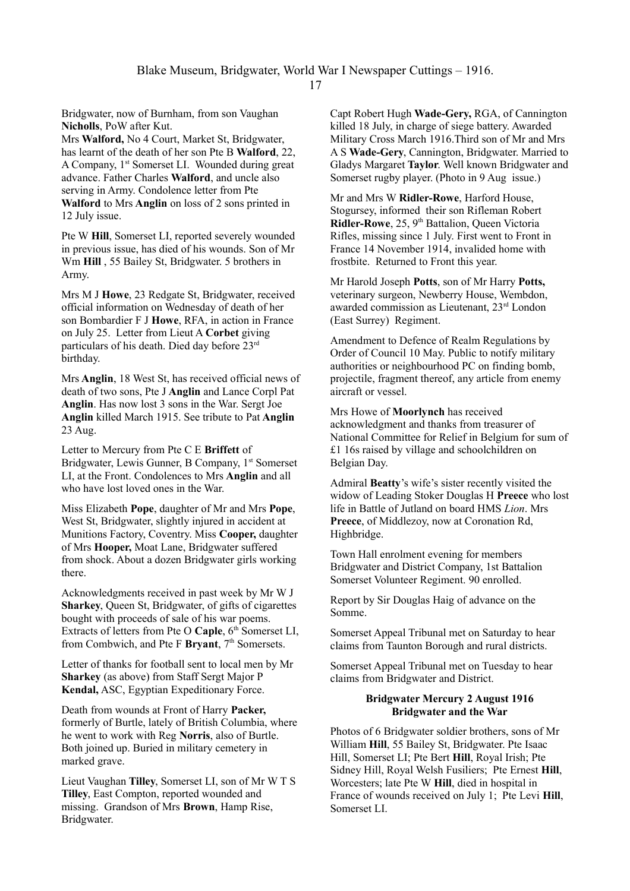Blake Museum, Bridgwater, World War I Newspaper Cuttings – 1916.

17

Bridgwater, now of Burnham, from son Vaughan **Nicholls**, PoW after Kut.

Mrs **Walford,** No 4 Court, Market St, Bridgwater, has learnt of the death of her son Pte B **Walford**, 22, A Company, 1st Somerset LI. Wounded during great advance. Father Charles **Walford**, and uncle also serving in Army. Condolence letter from Pte **Walford** to Mrs **Anglin** on loss of 2 sons printed in 12 July issue.

Pte W **Hill**, Somerset LI, reported severely wounded in previous issue, has died of his wounds. Son of Mr Wm **Hill** , 55 Bailey St, Bridgwater. 5 brothers in Army.

Mrs M J **Howe**, 23 Redgate St, Bridgwater, received official information on Wednesday of death of her son Bombardier F J **Howe**, RFA, in action in France on July 25. Letter from Lieut A **Corbet** giving particulars of his death. Died day before 23rd birthday.

Mrs **Anglin**, 18 West St, has received official news of death of two sons, Pte J **Anglin** and Lance Corpl Pat **Anglin**. Has now lost 3 sons in the War. Sergt Joe **Anglin** killed March 1915. See tribute to Pat **Anglin** 23 Aug.

Letter to Mercury from Pte C E **Briffett** of Bridgwater, Lewis Gunner, B Company, 1<sup>st</sup> Somerset LI, at the Front. Condolences to Mrs **Anglin** and all who have lost loved ones in the War.

Miss Elizabeth **Pope**, daughter of Mr and Mrs **Pope**, West St, Bridgwater, slightly injured in accident at Munitions Factory, Coventry. Miss **Cooper,** daughter of Mrs **Hooper,** Moat Lane, Bridgwater suffered from shock. About a dozen Bridgwater girls working there.

Acknowledgments received in past week by Mr W J **Sharkey**, Queen St, Bridgwater, of gifts of cigarettes bought with proceeds of sale of his war poems. Extracts of letters from Pte O Caple, 6<sup>th</sup> Somerset LI, from Combwich, and Pte F **Bryant**, 7<sup>th</sup> Somersets.

Letter of thanks for football sent to local men by Mr **Sharkey** (as above) from Staff Sergt Major P **Kendal,** ASC, Egyptian Expeditionary Force.

Death from wounds at Front of Harry **Packer,** formerly of Burtle, lately of British Columbia, where he went to work with Reg **Norris**, also of Burtle. Both joined up. Buried in military cemetery in marked grave.

Lieut Vaughan **Tilley**, Somerset LI, son of Mr W T S **Tilley**, East Compton, reported wounded and missing. Grandson of Mrs **Brown**, Hamp Rise, Bridgwater.

Capt Robert Hugh **Wade-Gery,** RGA, of Cannington killed 18 July, in charge of siege battery. Awarded Military Cross March 1916.Third son of Mr and Mrs A S **Wade-Gery**, Cannington, Bridgwater. Married to Gladys Margaret **Taylor**. Well known Bridgwater and Somerset rugby player. (Photo in 9 Aug issue.)

Mr and Mrs W **Ridler-Rowe**, Harford House, Stogursey, informed their son Rifleman Robert **Ridler-Rowe**, 25, 9<sup>th</sup> Battalion, Queen Victoria Rifles, missing since 1 July. First went to Front in France 14 November 1914, invalided home with frostbite. Returned to Front this year.

Mr Harold Joseph **Potts**, son of Mr Harry **Potts,** veterinary surgeon, Newberry House, Wembdon, awarded commission as Lieutenant, 23rd London (East Surrey) Regiment.

Amendment to Defence of Realm Regulations by Order of Council 10 May. Public to notify military authorities or neighbourhood PC on finding bomb, projectile, fragment thereof, any article from enemy aircraft or vessel.

Mrs Howe of **Moorlynch** has received acknowledgment and thanks from treasurer of National Committee for Relief in Belgium for sum of £1 16s raised by village and schoolchildren on Belgian Day.

Admiral **Beatty**'s wife's sister recently visited the widow of Leading Stoker Douglas H **Preece** who lost life in Battle of Jutland on board HMS *Lion*. Mrs **Preece**, of Middlezoy, now at Coronation Rd, Highbridge.

Town Hall enrolment evening for members Bridgwater and District Company, 1st Battalion Somerset Volunteer Regiment. 90 enrolled.

Report by Sir Douglas Haig of advance on the Somme.

Somerset Appeal Tribunal met on Saturday to hear claims from Taunton Borough and rural districts.

Somerset Appeal Tribunal met on Tuesday to hear claims from Bridgwater and District.

# **Bridgwater Mercury 2 August 1916 Bridgwater and the War**

Photos of 6 Bridgwater soldier brothers, sons of Mr William **Hill**, 55 Bailey St, Bridgwater. Pte Isaac Hill, Somerset LI; Pte Bert **Hill**, Royal Irish; Pte Sidney Hill, Royal Welsh Fusiliers; Pte Ernest **Hill**, Worcesters; late Pte W **Hill**, died in hospital in France of wounds received on July 1; Pte Levi **Hill**, Somerset LI.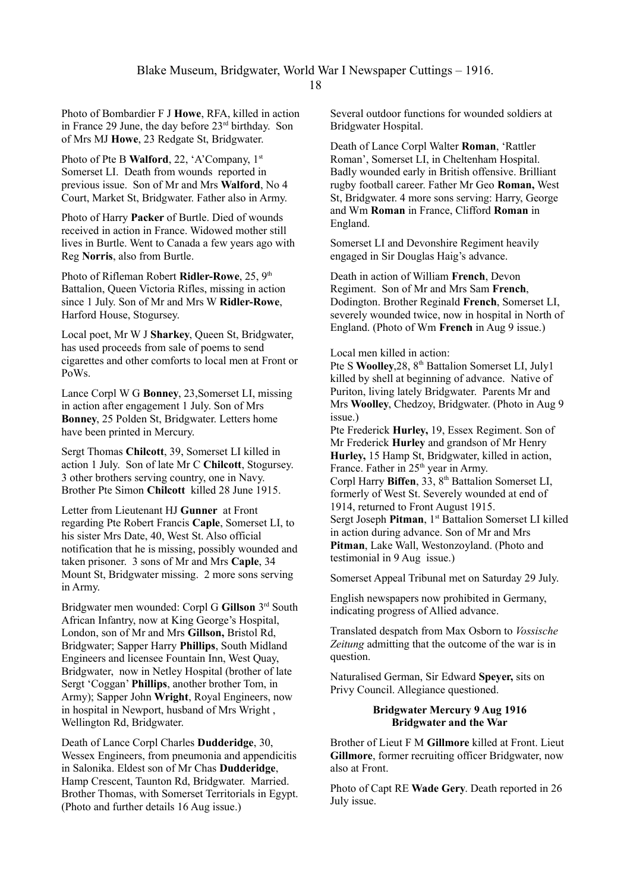Photo of Bombardier F J **Howe**, RFA, killed in action in France 29 June, the day before 23rd birthday. Son of Mrs MJ **Howe**, 23 Redgate St, Bridgwater.

Photo of Pte B **Walford**, 22, 'A'Company, 1<sup>st</sup> Somerset LI. Death from wounds reported in previous issue. Son of Mr and Mrs **Walford**, No 4 Court, Market St, Bridgwater. Father also in Army.

Photo of Harry **Packer** of Burtle. Died of wounds received in action in France. Widowed mother still lives in Burtle. Went to Canada a few years ago with Reg **Norris**, also from Burtle.

Photo of Rifleman Robert **Ridler-Rowe**, 25, 9<sup>th</sup> Battalion, Queen Victoria Rifles, missing in action since 1 July. Son of Mr and Mrs W **Ridler-Rowe**, Harford House, Stogursey.

Local poet, Mr W J **Sharkey**, Queen St, Bridgwater, has used proceeds from sale of poems to send cigarettes and other comforts to local men at Front or PoWs.

Lance Corpl W G **Bonney**, 23,Somerset LI, missing in action after engagement 1 July. Son of Mrs **Bonney**, 25 Polden St, Bridgwater. Letters home have been printed in Mercury.

Sergt Thomas **Chilcott**, 39, Somerset LI killed in action 1 July. Son of late Mr C **Chilcott**, Stogursey. 3 other brothers serving country, one in Navy. Brother Pte Simon **Chilcott** killed 28 June 1915.

Letter from Lieutenant HJ **Gunner** at Front regarding Pte Robert Francis **Caple**, Somerset LI, to his sister Mrs Date, 40, West St. Also official notification that he is missing, possibly wounded and taken prisoner. 3 sons of Mr and Mrs **Caple**, 34 Mount St, Bridgwater missing. 2 more sons serving in Army.

Bridgwater men wounded: Corpl G **Gillson** 3rd South African Infantry, now at King George's Hospital, London, son of Mr and Mrs **Gillson,** Bristol Rd, Bridgwater; Sapper Harry **Phillips**, South Midland Engineers and licensee Fountain Inn, West Quay, Bridgwater, now in Netley Hospital (brother of late Sergt 'Coggan' **Phillips**, another brother Tom, in Army); Sapper John **Wright**, Royal Engineers, now in hospital in Newport, husband of Mrs Wright , Wellington Rd, Bridgwater.

Death of Lance Corpl Charles **Dudderidge**, 30, Wessex Engineers, from pneumonia and appendicitis in Salonika. Eldest son of Mr Chas **Dudderidge**, Hamp Crescent, Taunton Rd, Bridgwater. Married. Brother Thomas, with Somerset Territorials in Egypt. (Photo and further details 16 Aug issue.)

Several outdoor functions for wounded soldiers at Bridgwater Hospital.

Death of Lance Corpl Walter **Roman**, 'Rattler Roman', Somerset LI, in Cheltenham Hospital. Badly wounded early in British offensive. Brilliant rugby football career. Father Mr Geo **Roman,** West St, Bridgwater. 4 more sons serving: Harry, George and Wm **Roman** in France, Clifford **Roman** in England.

Somerset LI and Devonshire Regiment heavily engaged in Sir Douglas Haig's advance.

Death in action of William **French**, Devon Regiment. Son of Mr and Mrs Sam **French**, Dodington. Brother Reginald **French**, Somerset LI, severely wounded twice, now in hospital in North of England. (Photo of Wm **French** in Aug 9 issue.)

#### Local men killed in action:

Pte S **Woolley**,28, 8th Battalion Somerset LI, July1 killed by shell at beginning of advance. Native of Puriton, living lately Bridgwater. Parents Mr and Mrs **Woolley**, Chedzoy, Bridgwater. (Photo in Aug 9 issue.)

Pte Frederick **Hurley,** 19, Essex Regiment. Son of Mr Frederick **Hurley** and grandson of Mr Henry **Hurley,** 15 Hamp St, Bridgwater, killed in action, France. Father in 25<sup>th</sup> year in Army.

Corpl Harry Biffen, 33, 8<sup>th</sup> Battalion Somerset LI, formerly of West St. Severely wounded at end of 1914, returned to Front August 1915.

Sergt Joseph **Pitman**, 1<sup>st</sup> Battalion Somerset LI killed in action during advance. Son of Mr and Mrs **Pitman**, Lake Wall, Westonzoyland. (Photo and testimonial in 9 Aug issue.)

Somerset Appeal Tribunal met on Saturday 29 July.

English newspapers now prohibited in Germany, indicating progress of Allied advance.

Translated despatch from Max Osborn to *Vossische Zeitung* admitting that the outcome of the war is in question.

Naturalised German, Sir Edward **Speyer,** sits on Privy Council. Allegiance questioned.

#### **Bridgwater Mercury 9 Aug 1916 Bridgwater and the War**

Brother of Lieut F M **Gillmore** killed at Front. Lieut **Gillmore**, former recruiting officer Bridgwater, now also at Front.

Photo of Capt RE **Wade Gery**. Death reported in 26 July issue.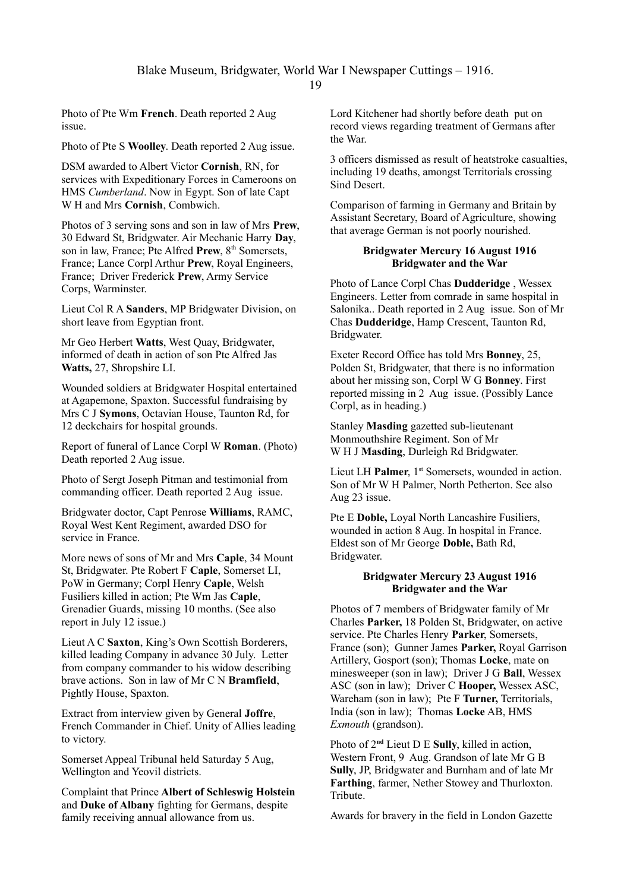Photo of Pte Wm **French**. Death reported 2 Aug issue.

Photo of Pte S **Woolley**. Death reported 2 Aug issue.

DSM awarded to Albert Victor **Cornish**, RN, for services with Expeditionary Forces in Cameroons on HMS *Cumberland*. Now in Egypt. Son of late Capt W H and Mrs **Cornish**, Combwich.

Photos of 3 serving sons and son in law of Mrs **Prew**, 30 Edward St, Bridgwater. Air Mechanic Harry **Day**, son in law, France; Pte Alfred **Prew**, 8<sup>th</sup> Somersets, France; Lance Corpl Arthur **Prew**, Royal Engineers, France; Driver Frederick **Prew**, Army Service Corps, Warminster.

Lieut Col R A **Sanders**, MP Bridgwater Division, on short leave from Egyptian front.

Mr Geo Herbert **Watts**, West Quay, Bridgwater, informed of death in action of son Pte Alfred Jas **Watts,** 27, Shropshire LI.

Wounded soldiers at Bridgwater Hospital entertained at Agapemone, Spaxton. Successful fundraising by Mrs C J **Symons**, Octavian House, Taunton Rd, for 12 deckchairs for hospital grounds.

Report of funeral of Lance Corpl W **Roman**. (Photo) Death reported 2 Aug issue.

Photo of Sergt Joseph Pitman and testimonial from commanding officer. Death reported 2 Aug issue.

Bridgwater doctor, Capt Penrose **Williams**, RAMC, Royal West Kent Regiment, awarded DSO for service in France.

More news of sons of Mr and Mrs **Caple**, 34 Mount St, Bridgwater. Pte Robert F **Caple**, Somerset LI, PoW in Germany; Corpl Henry **Caple**, Welsh Fusiliers killed in action; Pte Wm Jas **Caple**, Grenadier Guards, missing 10 months. (See also report in July 12 issue.)

Lieut A C **Saxton**, King's Own Scottish Borderers, killed leading Company in advance 30 July. Letter from company commander to his widow describing brave actions. Son in law of Mr C N **Bramfield**, Pightly House, Spaxton.

Extract from interview given by General **Joffre**, French Commander in Chief. Unity of Allies leading to victory.

Somerset Appeal Tribunal held Saturday 5 Aug, Wellington and Yeovil districts.

Complaint that Prince **Albert of Schleswig Holstein** and **Duke of Albany** fighting for Germans, despite family receiving annual allowance from us.

Lord Kitchener had shortly before death put on record views regarding treatment of Germans after the War.

3 officers dismissed as result of heatstroke casualties, including 19 deaths, amongst Territorials crossing Sind Desert.

Comparison of farming in Germany and Britain by Assistant Secretary, Board of Agriculture, showing that average German is not poorly nourished.

# **Bridgwater Mercury 16 August 1916 Bridgwater and the War**

Photo of Lance Corpl Chas **Dudderidge** , Wessex Engineers. Letter from comrade in same hospital in Salonika.. Death reported in 2 Aug issue. Son of Mr Chas **Dudderidge**, Hamp Crescent, Taunton Rd, Bridgwater.

Exeter Record Office has told Mrs **Bonney**, 25, Polden St, Bridgwater, that there is no information about her missing son, Corpl W G **Bonney**. First reported missing in 2 Aug issue. (Possibly Lance Corpl, as in heading.)

Stanley **Masding** gazetted sub-lieutenant Monmouthshire Regiment. Son of Mr W H J **Masding**, Durleigh Rd Bridgwater.

Lieut LH **Palmer**, 1<sup>st</sup> Somersets, wounded in action. Son of Mr W H Palmer, North Petherton. See also Aug 23 issue.

Pte E **Doble,** Loyal North Lancashire Fusiliers, wounded in action 8 Aug. In hospital in France. Eldest son of Mr George **Doble,** Bath Rd, Bridgwater.

### **Bridgwater Mercury 23 August 1916 Bridgwater and the War**

Photos of 7 members of Bridgwater family of Mr Charles **Parker,** 18 Polden St, Bridgwater, on active service. Pte Charles Henry **Parker**, Somersets, France (son); Gunner James **Parker,** Royal Garrison Artillery, Gosport (son); Thomas **Locke**, mate on minesweeper (son in law); Driver J G **Ball**, Wessex ASC (son in law); Driver C **Hooper,** Wessex ASC, Wareham (son in law); Pte F **Turner,** Territorials, India (son in law); Thomas **Locke** AB, HMS *Exmouth* (grandson).

Photo of 2**nd** Lieut D E **Sully**, killed in action, Western Front, 9 Aug. Grandson of late Mr G B **Sully**, JP, Bridgwater and Burnham and of late Mr **Farthing**, farmer, Nether Stowey and Thurloxton. **Tribute** 

Awards for bravery in the field in London Gazette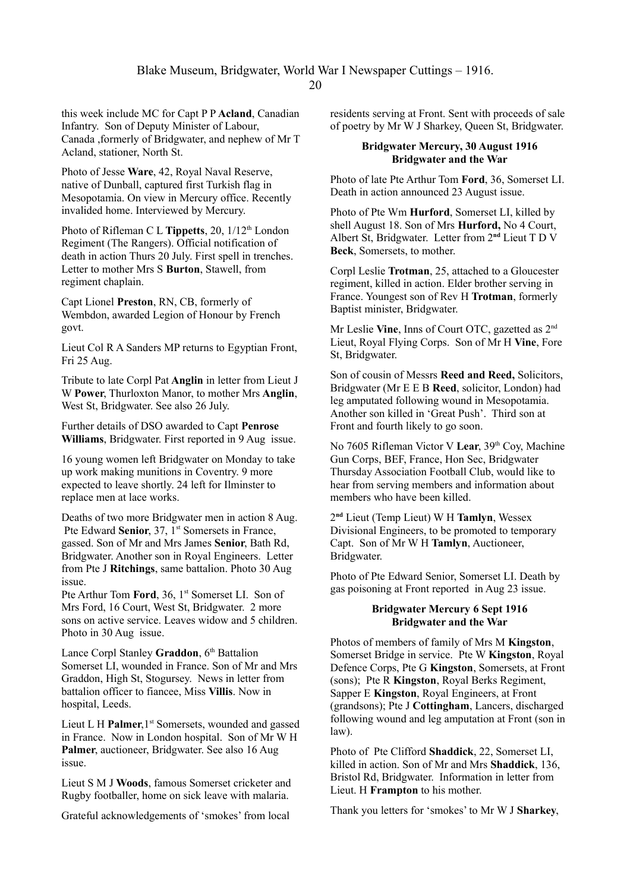this week include MC for Capt P P **Acland**, Canadian Infantry. Son of Deputy Minister of Labour, Canada ,formerly of Bridgwater, and nephew of Mr T Acland, stationer, North St.

Photo of Jesse **Ware**, 42, Royal Naval Reserve, native of Dunball, captured first Turkish flag in Mesopotamia. On view in Mercury office. Recently invalided home. Interviewed by Mercury.

Photo of Rifleman C L **Tippetts**, 20, 1/12<sup>th</sup> London Regiment (The Rangers). Official notification of death in action Thurs 20 July. First spell in trenches. Letter to mother Mrs S **Burton**, Stawell, from regiment chaplain.

Capt Lionel **Preston**, RN, CB, formerly of Wembdon, awarded Legion of Honour by French govt.

Lieut Col R A Sanders MP returns to Egyptian Front, Fri 25 Aug.

Tribute to late Corpl Pat **Anglin** in letter from Lieut J W **Power**, Thurloxton Manor, to mother Mrs **Anglin**, West St, Bridgwater. See also 26 July.

Further details of DSO awarded to Capt **Penrose Williams**, Bridgwater. First reported in 9 Aug issue.

16 young women left Bridgwater on Monday to take up work making munitions in Coventry. 9 more expected to leave shortly. 24 left for Ilminster to replace men at lace works.

Deaths of two more Bridgwater men in action 8 Aug. Pte Edward **Senior**, 37, 1<sup>st</sup> Somersets in France, gassed. Son of Mr and Mrs James **Senior**, Bath Rd, Bridgwater. Another son in Royal Engineers. Letter from Pte J **Ritchings**, same battalion. Photo 30 Aug issue.

Pte Arthur Tom **Ford**, 36, 1<sup>st</sup> Somerset LI. Son of Mrs Ford, 16 Court, West St, Bridgwater. 2 more sons on active service. Leaves widow and 5 children. Photo in 30 Aug issue.

Lance Corpl Stanley **Graddon**, 6<sup>th</sup> Battalion Somerset LI, wounded in France. Son of Mr and Mrs Graddon, High St, Stogursey. News in letter from battalion officer to fiancee, Miss **Villis**. Now in hospital, Leeds.

Lieut L H **Palmer**, 1<sup>st</sup> Somersets, wounded and gassed in France. Now in London hospital. Son of Mr W H **Palmer**, auctioneer, Bridgwater. See also 16 Aug issue.

Lieut S M J **Woods**, famous Somerset cricketer and Rugby footballer, home on sick leave with malaria.

Grateful acknowledgements of 'smokes' from local

residents serving at Front. Sent with proceeds of sale of poetry by Mr W J Sharkey, Queen St, Bridgwater.

# **Bridgwater Mercury, 30 August 1916 Bridgwater and the War**

Photo of late Pte Arthur Tom **Ford**, 36, Somerset LI. Death in action announced 23 August issue.

Photo of Pte Wm **Hurford**, Somerset LI, killed by shell August 18. Son of Mrs **Hurford,** No 4 Court, Albert St, Bridgwater. Letter from 2**nd** Lieut T D V **Beck**, Somersets, to mother.

Corpl Leslie **Trotman**, 25, attached to a Gloucester regiment, killed in action. Elder brother serving in France. Youngest son of Rev H **Trotman**, formerly Baptist minister, Bridgwater.

Mr Leslie **Vine**, Inns of Court OTC, gazetted as 2nd Lieut, Royal Flying Corps. Son of Mr H **Vine**, Fore St, Bridgwater.

Son of cousin of Messrs **Reed and Reed,** Solicitors, Bridgwater (Mr E E B **Reed**, solicitor, London) had leg amputated following wound in Mesopotamia. Another son killed in 'Great Push'. Third son at Front and fourth likely to go soon.

No 7605 Rifleman Victor V **Lear**, 39th Coy, Machine Gun Corps, BEF, France, Hon Sec, Bridgwater Thursday Association Football Club, would like to hear from serving members and information about members who have been killed.

2 **nd** Lieut (Temp Lieut) W H **Tamlyn**, Wessex Divisional Engineers, to be promoted to temporary Capt. Son of Mr W H **Tamlyn**, Auctioneer, Bridgwater.

Photo of Pte Edward Senior, Somerset LI. Death by gas poisoning at Front reported in Aug 23 issue.

# **Bridgwater Mercury 6 Sept 1916 Bridgwater and the War**

Photos of members of family of Mrs M **Kingston**, Somerset Bridge in service. Pte W **Kingston**, Royal Defence Corps, Pte G **Kingston**, Somersets, at Front (sons); Pte R **Kingston**, Royal Berks Regiment, Sapper E **Kingston**, Royal Engineers, at Front (grandsons); Pte J **Cottingham**, Lancers, discharged following wound and leg amputation at Front (son in law).

Photo of Pte Clifford **Shaddick**, 22, Somerset LI, killed in action. Son of Mr and Mrs **Shaddick**, 136, Bristol Rd, Bridgwater. Information in letter from Lieut. H **Frampton** to his mother.

Thank you letters for 'smokes' to Mr W J **Sharkey**,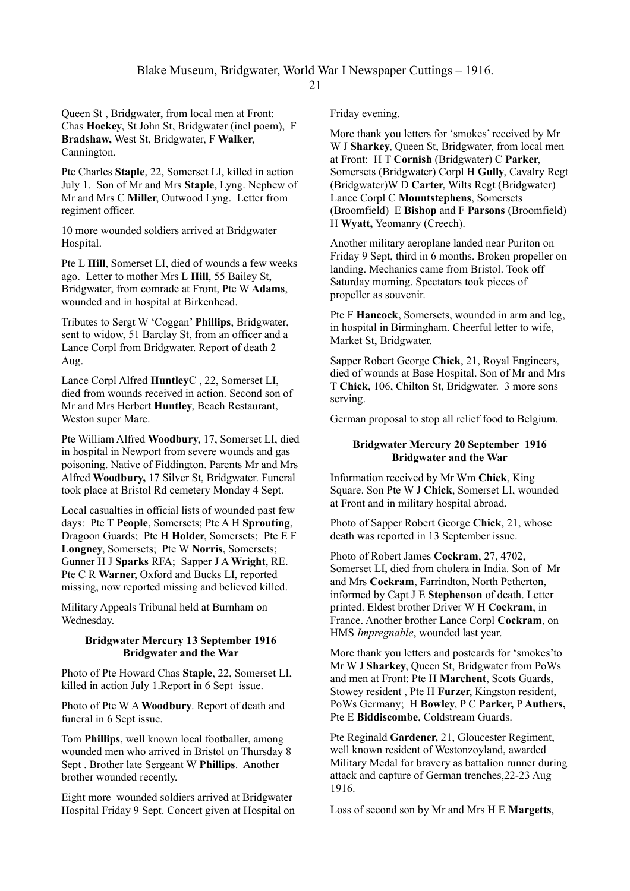Queen St , Bridgwater, from local men at Front: Chas **Hockey**, St John St, Bridgwater (incl poem), F **Bradshaw,** West St, Bridgwater, F **Walker**, Cannington.

Pte Charles **Staple**, 22, Somerset LI, killed in action July 1. Son of Mr and Mrs **Staple**, Lyng. Nephew of Mr and Mrs C **Miller**, Outwood Lyng. Letter from regiment officer.

10 more wounded soldiers arrived at Bridgwater Hospital.

Pte L **Hill**, Somerset LI, died of wounds a few weeks ago. Letter to mother Mrs L **Hill**, 55 Bailey St, Bridgwater, from comrade at Front, Pte W **Adams**, wounded and in hospital at Birkenhead.

Tributes to Sergt W 'Coggan' **Phillips**, Bridgwater, sent to widow, 51 Barclay St, from an officer and a Lance Corpl from Bridgwater. Report of death 2 Aug.

Lance Corpl Alfred **Huntley**C , 22, Somerset LI, died from wounds received in action. Second son of Mr and Mrs Herbert **Huntley**, Beach Restaurant, Weston super Mare.

Pte William Alfred **Woodbury**, 17, Somerset LI, died in hospital in Newport from severe wounds and gas poisoning. Native of Fiddington. Parents Mr and Mrs Alfred **Woodbury,** 17 Silver St, Bridgwater. Funeral took place at Bristol Rd cemetery Monday 4 Sept.

Local casualties in official lists of wounded past few days: Pte T **People**, Somersets; Pte A H **Sprouting**, Dragoon Guards; Pte H **Holder**, Somersets; Pte E F **Longney**, Somersets; Pte W **Norris**, Somersets; Gunner H J **Sparks** RFA; Sapper J A **Wright**, RE. Pte C R **Warner**, Oxford and Bucks LI, reported missing, now reported missing and believed killed.

Military Appeals Tribunal held at Burnham on Wednesday.

# **Bridgwater Mercury 13 September 1916 Bridgwater and the War**

Photo of Pte Howard Chas **Staple**, 22, Somerset LI, killed in action July 1.Report in 6 Sept issue.

Photo of Pte W A **Woodbury**. Report of death and funeral in 6 Sept issue.

Tom **Phillips**, well known local footballer, among wounded men who arrived in Bristol on Thursday 8 Sept . Brother late Sergeant W **Phillips**. Another brother wounded recently.

Eight more wounded soldiers arrived at Bridgwater Hospital Friday 9 Sept. Concert given at Hospital on Friday evening.

More thank you letters for 'smokes' received by Mr W J **Sharkey**, Queen St, Bridgwater, from local men at Front: H T **Cornish** (Bridgwater) C **Parker**, Somersets (Bridgwater) Corpl H **Gully**, Cavalry Regt (Bridgwater)W D **Carter**, Wilts Regt (Bridgwater) Lance Corpl C **Mountstephens**, Somersets (Broomfield) E **Bishop** and F **Parsons** (Broomfield) H **Wyatt,** Yeomanry (Creech).

Another military aeroplane landed near Puriton on Friday 9 Sept, third in 6 months. Broken propeller on landing. Mechanics came from Bristol. Took off Saturday morning. Spectators took pieces of propeller as souvenir.

Pte F **Hancock**, Somersets, wounded in arm and leg, in hospital in Birmingham. Cheerful letter to wife, Market St, Bridgwater.

Sapper Robert George **Chick**, 21, Royal Engineers, died of wounds at Base Hospital. Son of Mr and Mrs T **Chick**, 106, Chilton St, Bridgwater. 3 more sons serving.

German proposal to stop all relief food to Belgium.

# **Bridgwater Mercury 20 September 1916 Bridgwater and the War**

Information received by Mr Wm **Chick**, King Square. Son Pte W J **Chick**, Somerset LI, wounded at Front and in military hospital abroad.

Photo of Sapper Robert George **Chick**, 21, whose death was reported in 13 September issue.

Photo of Robert James **Cockram**, 27, 4702, Somerset LI, died from cholera in India. Son of Mr and Mrs **Cockram**, Farrindton, North Petherton, informed by Capt J E **Stephenson** of death. Letter printed. Eldest brother Driver W H **Cockram**, in France. Another brother Lance Corpl **Cockram**, on HMS *Impregnable*, wounded last year.

More thank you letters and postcards for 'smokes'to Mr W J **Sharkey**, Queen St, Bridgwater from PoWs and men at Front: Pte H **Marchent**, Scots Guards, Stowey resident , Pte H **Furzer**, Kingston resident, PoWs Germany; H **Bowley**, P C **Parker,** P **Authers,** Pte E **Biddiscombe**, Coldstream Guards.

Pte Reginald **Gardener,** 21, Gloucester Regiment, well known resident of Westonzoyland, awarded Military Medal for bravery as battalion runner during attack and capture of German trenches,22-23 Aug 1916.

Loss of second son by Mr and Mrs H E **Margetts**,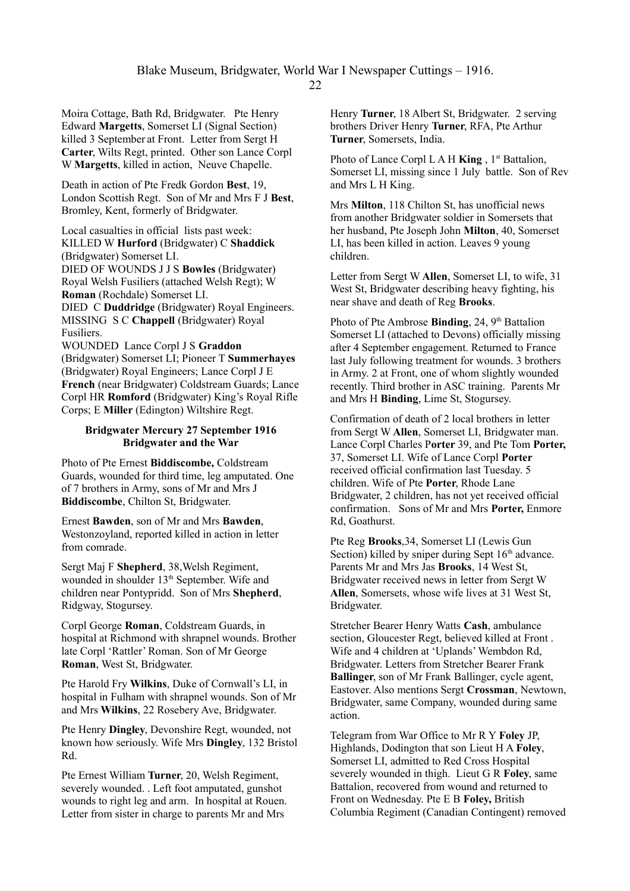Moira Cottage, Bath Rd, Bridgwater. Pte Henry Edward **Margetts**, Somerset LI (Signal Section) killed 3 September at Front. Letter from Sergt H **Carter**, Wilts Regt, printed. Other son Lance Corpl W **Margetts**, killed in action, Neuve Chapelle.

Death in action of Pte Fredk Gordon **Best**, 19, London Scottish Regt. Son of Mr and Mrs F J **Best**, Bromley, Kent, formerly of Bridgwater.

Local casualties in official lists past week: KILLED W **Hurford** (Bridgwater) C **Shaddick** (Bridgwater) Somerset LI. DIED OF WOUNDS J J S **Bowles** (Bridgwater) Royal Welsh Fusiliers (attached Welsh Regt); W **Roman** (Rochdale) Somerset LI. DIED C **Duddridge** (Bridgwater) Royal Engineers. MISSING S C **Chappell** (Bridgwater) Royal Fusiliers.

WOUNDED Lance Corpl J S **Graddon** (Bridgwater) Somerset LI; Pioneer T **Summerhayes** (Bridgwater) Royal Engineers; Lance Corpl J E **French** (near Bridgwater) Coldstream Guards; Lance Corpl HR **Romford** (Bridgwater) King's Royal Rifle Corps; E **Miller** (Edington) Wiltshire Regt.

#### **Bridgwater Mercury 27 September 1916 Bridgwater and the War**

Photo of Pte Ernest **Biddiscombe,** Coldstream Guards, wounded for third time, leg amputated. One of 7 brothers in Army, sons of Mr and Mrs J **Biddiscombe**, Chilton St, Bridgwater.

Ernest **Bawden**, son of Mr and Mrs **Bawden**, Westonzoyland, reported killed in action in letter from comrade.

Sergt Maj F **Shepherd**, 38,Welsh Regiment, wounded in shoulder 13<sup>th</sup> September. Wife and children near Pontypridd. Son of Mrs **Shepherd**, Ridgway, Stogursey.

Corpl George **Roman**, Coldstream Guards, in hospital at Richmond with shrapnel wounds. Brother late Corpl 'Rattler' Roman. Son of Mr George **Roman**, West St, Bridgwater.

Pte Harold Fry **Wilkins**, Duke of Cornwall's LI, in hospital in Fulham with shrapnel wounds. Son of Mr and Mrs **Wilkins**, 22 Rosebery Ave, Bridgwater.

Pte Henry **Dingley**, Devonshire Regt, wounded, not known how seriously. Wife Mrs **Dingley**, 132 Bristol Rd.

Pte Ernest William **Turner**, 20, Welsh Regiment, severely wounded. . Left foot amputated, gunshot wounds to right leg and arm. In hospital at Rouen. Letter from sister in charge to parents Mr and Mrs

Henry **Turner**, 18 Albert St, Bridgwater. 2 serving brothers Driver Henry **Turner**, RFA, Pte Arthur **Turner**, Somersets, India.

Photo of Lance Corpl L A H **King** , 1<sup>st</sup> Battalion, Somerset LI, missing since 1 July battle. Son of Rev and Mrs L H King.

Mrs **Milton**, 118 Chilton St, has unofficial news from another Bridgwater soldier in Somersets that her husband, Pte Joseph John **Milton**, 40, Somerset LI, has been killed in action. Leaves 9 young children.

Letter from Sergt W **Allen**, Somerset LI, to wife, 31 West St, Bridgwater describing heavy fighting, his near shave and death of Reg **Brooks**.

Photo of Pte Ambrose **Binding**, 24, 9<sup>th</sup> Battalion Somerset LI (attached to Devons) officially missing after 4 September engagement. Returned to France last July following treatment for wounds. 3 brothers in Army. 2 at Front, one of whom slightly wounded recently. Third brother in ASC training. Parents Mr and Mrs H **Binding**, Lime St, Stogursey.

Confirmation of death of 2 local brothers in letter from Sergt W **Allen**, Somerset LI, Bridgwater man. Lance Corpl Charles P**orter** 39, and Pte Tom **Porter,** 37, Somerset LI. Wife of Lance Corpl **Porter** received official confirmation last Tuesday. 5 children. Wife of Pte **Porter**, Rhode Lane Bridgwater, 2 children, has not yet received official confirmation. Sons of Mr and Mrs **Porter,** Enmore Rd, Goathurst.

Pte Reg **Brooks**,34, Somerset LI (Lewis Gun Section) killed by sniper during Sept  $16<sup>th</sup>$  advance. Parents Mr and Mrs Jas **Brooks**, 14 West St, Bridgwater received news in letter from Sergt W **Allen**, Somersets, whose wife lives at 31 West St, Bridgwater.

Stretcher Bearer Henry Watts **Cash**, ambulance section, Gloucester Regt, believed killed at Front . Wife and 4 children at 'Uplands' Wembdon Rd, Bridgwater. Letters from Stretcher Bearer Frank **Ballinger**, son of Mr Frank Ballinger, cycle agent, Eastover. Also mentions Sergt **Crossman**, Newtown, Bridgwater, same Company, wounded during same action.

Telegram from War Office to Mr R Y **Foley** JP, Highlands, Dodington that son Lieut H A **Foley**, Somerset LI, admitted to Red Cross Hospital severely wounded in thigh. Lieut G R **Foley**, same Battalion, recovered from wound and returned to Front on Wednesday. Pte E B **Foley,** British Columbia Regiment (Canadian Contingent) removed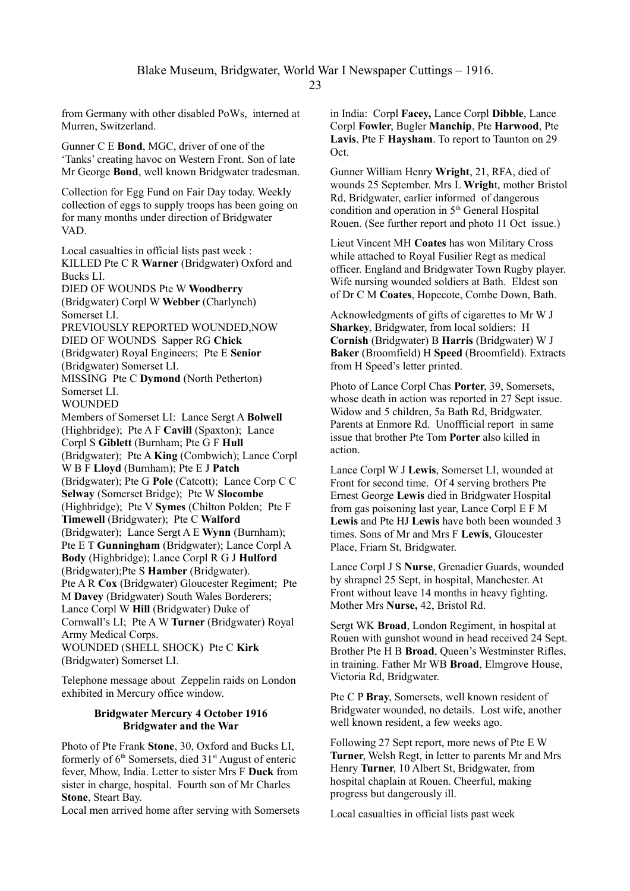from Germany with other disabled PoWs, interned at Murren, Switzerland.

Gunner C E **Bond**, MGC, driver of one of the 'Tanks' creating havoc on Western Front. Son of late Mr George **Bond**, well known Bridgwater tradesman.

Collection for Egg Fund on Fair Day today. Weekly collection of eggs to supply troops has been going on for many months under direction of Bridgwater VAD.

Local casualties in official lists past week : KILLED Pte C R **Warner** (Bridgwater) Oxford and Bucks LI. DIED OF WOUNDS Pte W **Woodberry** (Bridgwater) Corpl W **Webber** (Charlynch) Somerset LI. PREVIOUSLY REPORTED WOUNDED,NOW DIED OF WOUNDS Sapper RG **Chick** (Bridgwater) Royal Engineers; Pte E **Senior** (Bridgwater) Somerset LI. MISSING Pte C **Dymond** (North Petherton) Somerset LI. **WOUNDED** Members of Somerset LI: Lance Sergt A **Bolwell** (Highbridge); Pte A F **Cavill** (Spaxton); Lance Corpl S **Giblett** (Burnham; Pte G F **Hull**  (Bridgwater); Pte A **King** (Combwich); Lance Corpl W B F **Lloyd** (Burnham); Pte E J **Patch** (Bridgwater); Pte G **Pole** (Catcott); Lance Corp C C **Selway** (Somerset Bridge); Pte W **Slocombe** (Highbridge); Pte V **Symes** (Chilton Polden; Pte F **Timewell** (Bridgwater); Pte C **Walford** (Bridgwater); Lance Sergt A E **Wynn** (Burnham); Pte E T **Gunningham** (Bridgwater); Lance Corpl A **Body** (Highbridge); Lance Corpl R G J **Hulford** (Bridgwater);Pte S **Hamber** (Bridgwater). Pte A R **Cox** (Bridgwater) Gloucester Regiment; Pte M **Davey** (Bridgwater) South Wales Borderers; Lance Corpl W **Hill** (Bridgwater) Duke of Cornwall's LI; Pte A W **Turner** (Bridgwater) Royal Army Medical Corps. WOUNDED (SHELL SHOCK) Pte C **Kirk** (Bridgwater) Somerset LI.

Telephone message about Zeppelin raids on London exhibited in Mercury office window.

### **Bridgwater Mercury 4 October 1916 Bridgwater and the War**

Photo of Pte Frank **Stone**, 30, Oxford and Bucks LI, formerly of  $6<sup>th</sup>$  Somersets, died  $31<sup>st</sup>$  August of enteric fever, Mhow, India. Letter to sister Mrs F **Duck** from sister in charge, hospital. Fourth son of Mr Charles **Stone**, Steart Bay.

Local men arrived home after serving with Somersets

in India: Corpl **Facey,** Lance Corpl **Dibble**, Lance Corpl **Fowler**, Bugler **Manchip**, Pte **Harwood**, Pte **Lavis**, Pte F **Haysham**. To report to Taunton on 29 Oct.

Gunner William Henry **Wright**, 21, RFA, died of wounds 25 September. Mrs L **Wrigh**t, mother Bristol Rd, Bridgwater, earlier informed of dangerous condition and operation in 5<sup>th</sup> General Hospital Rouen. (See further report and photo 11 Oct issue.)

Lieut Vincent MH **Coates** has won Military Cross while attached to Royal Fusilier Regt as medical officer. England and Bridgwater Town Rugby player. Wife nursing wounded soldiers at Bath. Eldest son of Dr C M **Coates**, Hopecote, Combe Down, Bath.

Acknowledgments of gifts of cigarettes to Mr W J **Sharkey**, Bridgwater, from local soldiers: H **Cornish** (Bridgwater) B **Harris** (Bridgwater) W J **Baker** (Broomfield) H **Speed** (Broomfield). Extracts from H Speed's letter printed.

Photo of Lance Corpl Chas **Porter**, 39, Somersets, whose death in action was reported in 27 Sept issue. Widow and 5 children, 5a Bath Rd, Bridgwater. Parents at Enmore Rd. Unoffficial report in same issue that brother Pte Tom **Porter** also killed in action.

Lance Corpl W J **Lewis**, Somerset LI, wounded at Front for second time. Of 4 serving brothers Pte Ernest George **Lewis** died in Bridgwater Hospital from gas poisoning last year, Lance Corpl E F M **Lewis** and Pte HJ **Lewis** have both been wounded 3 times. Sons of Mr and Mrs F **Lewis**, Gloucester Place, Friarn St, Bridgwater.

Lance Corpl J S **Nurse**, Grenadier Guards, wounded by shrapnel 25 Sept, in hospital, Manchester. At Front without leave 14 months in heavy fighting. Mother Mrs **Nurse,** 42, Bristol Rd.

Sergt WK **Broad**, London Regiment, in hospital at Rouen with gunshot wound in head received 24 Sept. Brother Pte H B **Broad**, Queen's Westminster Rifles, in training. Father Mr WB **Broad**, Elmgrove House, Victoria Rd, Bridgwater.

Pte C P **Bray**, Somersets, well known resident of Bridgwater wounded, no details. Lost wife, another well known resident, a few weeks ago.

Following 27 Sept report, more news of Pte E W **Turner**, Welsh Regt, in letter to parents Mr and Mrs Henry **Turner**, 10 Albert St, Bridgwater, from hospital chaplain at Rouen. Cheerful, making progress but dangerously ill.

Local casualties in official lists past week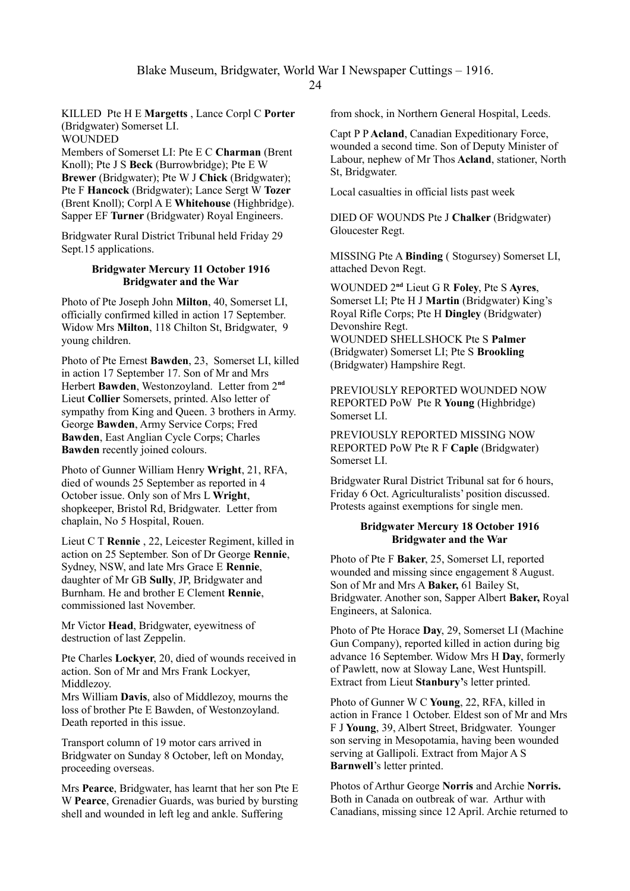Blake Museum, Bridgwater, World War I Newspaper Cuttings – 1916.

 $24$ 

KILLED Pte H E **Margetts** , Lance Corpl C **Porter** (Bridgwater) Somerset LI. **WOUNDED** 

Members of Somerset LI: Pte E C **Charman** (Brent Knoll); Pte J S **Beck** (Burrowbridge); Pte E W **Brewer** (Bridgwater); Pte W J **Chick** (Bridgwater); Pte F **Hancock** (Bridgwater); Lance Sergt W **Tozer** (Brent Knoll); Corpl A E **Whitehouse** (Highbridge). Sapper EF **Turner** (Bridgwater) Royal Engineers.

Bridgwater Rural District Tribunal held Friday 29 Sept.15 applications.

### **Bridgwater Mercury 11 October 1916 Bridgwater and the War**

Photo of Pte Joseph John **Milton**, 40, Somerset LI, officially confirmed killed in action 17 September. Widow Mrs **Milton**, 118 Chilton St, Bridgwater, 9 young children.

Photo of Pte Ernest **Bawden**, 23, Somerset LI, killed in action 17 September 17. Son of Mr and Mrs Herbert **Bawden**, Westonzoyland. Letter from 2**nd** Lieut **Collier** Somersets, printed. Also letter of sympathy from King and Queen. 3 brothers in Army. George **Bawden**, Army Service Corps; Fred **Bawden**, East Anglian Cycle Corps; Charles **Bawden** recently joined colours.

Photo of Gunner William Henry **Wright**, 21, RFA, died of wounds 25 September as reported in 4 October issue. Only son of Mrs L **Wright**, shopkeeper, Bristol Rd, Bridgwater. Letter from chaplain, No 5 Hospital, Rouen.

Lieut C T **Rennie** , 22, Leicester Regiment, killed in action on 25 September. Son of Dr George **Rennie**, Sydney, NSW, and late Mrs Grace E **Rennie**, daughter of Mr GB **Sully**, JP, Bridgwater and Burnham. He and brother E Clement **Rennie**, commissioned last November.

Mr Victor **Head**, Bridgwater, eyewitness of destruction of last Zeppelin.

Pte Charles **Lockyer**, 20, died of wounds received in action. Son of Mr and Mrs Frank Lockyer, Middlezoy.

Mrs William **Davis**, also of Middlezoy, mourns the loss of brother Pte E Bawden, of Westonzoyland. Death reported in this issue.

Transport column of 19 motor cars arrived in Bridgwater on Sunday 8 October, left on Monday, proceeding overseas.

Mrs **Pearce**, Bridgwater, has learnt that her son Pte E W **Pearce**, Grenadier Guards, was buried by bursting shell and wounded in left leg and ankle. Suffering

from shock, in Northern General Hospital, Leeds.

Capt P P **Acland**, Canadian Expeditionary Force, wounded a second time. Son of Deputy Minister of Labour, nephew of Mr Thos **Acland**, stationer, North St, Bridgwater.

Local casualties in official lists past week

DIED OF WOUNDS Pte J **Chalker** (Bridgwater) Gloucester Regt.

MISSING Pte A **Binding** ( Stogursey) Somerset LI, attached Devon Regt.

WOUNDED 2**nd** Lieut G R **Foley**, Pte S **Ayres**, Somerset LI; Pte H J **Martin** (Bridgwater) King's Royal Rifle Corps; Pte H **Dingley** (Bridgwater) Devonshire Regt. WOUNDED SHELLSHOCK Pte S **Palmer** (Bridgwater) Somerset LI; Pte S **Brookling** (Bridgwater) Hampshire Regt.

PREVIOUSLY REPORTED WOUNDED NOW REPORTED PoW Pte R **Young** (Highbridge) Somerset LI.

PREVIOUSLY REPORTED MISSING NOW REPORTED PoW Pte R F **Caple** (Bridgwater) Somerset LI.

Bridgwater Rural District Tribunal sat for 6 hours, Friday 6 Oct. Agriculturalists' position discussed. Protests against exemptions for single men.

# **Bridgwater Mercury 18 October 1916 Bridgwater and the War**

Photo of Pte F **Baker**, 25, Somerset LI, reported wounded and missing since engagement 8 August. Son of Mr and Mrs A **Baker,** 61 Bailey St, Bridgwater. Another son, Sapper Albert **Baker,** Royal Engineers, at Salonica.

Photo of Pte Horace **Day**, 29, Somerset LI (Machine Gun Company), reported killed in action during big advance 16 September. Widow Mrs H **Day**, formerly of Pawlett, now at Sloway Lane, West Huntspill. Extract from Lieut **Stanbury'**s letter printed.

Photo of Gunner W C **Young**, 22, RFA, killed in action in France 1 October. Eldest son of Mr and Mrs F J **Young**, 39, Albert Street, Bridgwater. Younger son serving in Mesopotamia, having been wounded serving at Gallipoli. Extract from Major A S **Barnwell**'s letter printed.

Photos of Arthur George **Norris** and Archie **Norris.** Both in Canada on outbreak of war. Arthur with Canadians, missing since 12 April. Archie returned to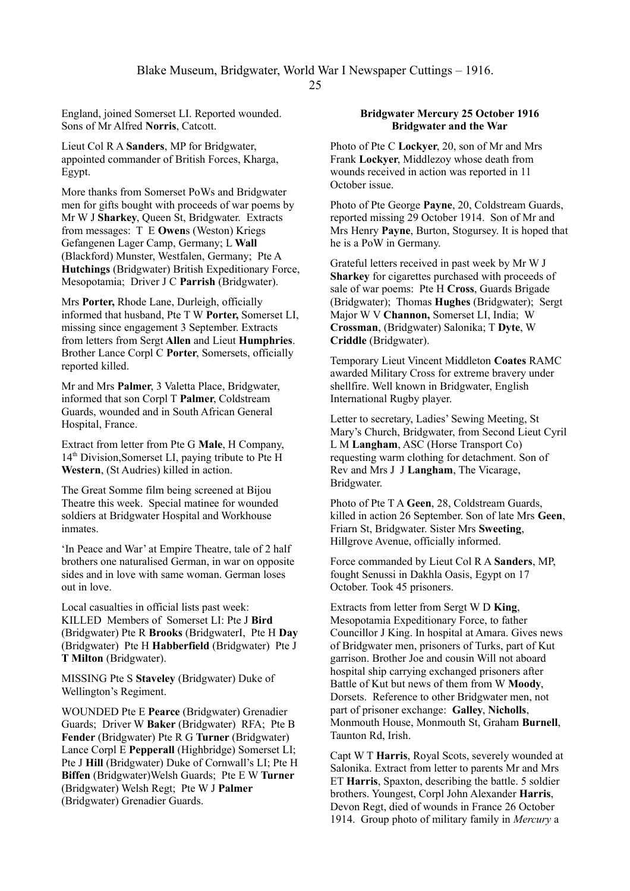England, joined Somerset LI. Reported wounded. Sons of Mr Alfred **Norris**, Catcott.

Lieut Col R A **Sanders**, MP for Bridgwater, appointed commander of British Forces, Kharga, Egypt.

More thanks from Somerset PoWs and Bridgwater men for gifts bought with proceeds of war poems by Mr W J **Sharkey**, Queen St, Bridgwater. Extracts from messages: T E **Owen**s (Weston) Kriegs Gefangenen Lager Camp, Germany; L **Wall** (Blackford) Munster, Westfalen, Germany; Pte A **Hutchings** (Bridgwater) British Expeditionary Force, Mesopotamia; Driver J C **Parrish** (Bridgwater).

Mrs **Porter,** Rhode Lane, Durleigh, officially informed that husband, Pte T W **Porter,** Somerset LI, missing since engagement 3 September. Extracts from letters from Sergt **Allen** and Lieut **Humphries**. Brother Lance Corpl C **Porter**, Somersets, officially reported killed.

Mr and Mrs **Palmer**, 3 Valetta Place, Bridgwater, informed that son Corpl T **Palmer**, Coldstream Guards, wounded and in South African General Hospital, France.

Extract from letter from Pte G **Male**, H Company,  $14<sup>th</sup> Division. Somerset LI, paying tribute to Pte H$ **Western**, (St Audries) killed in action.

The Great Somme film being screened at Bijou Theatre this week. Special matinee for wounded soldiers at Bridgwater Hospital and Workhouse inmates.

'In Peace and War' at Empire Theatre, tale of 2 half brothers one naturalised German, in war on opposite sides and in love with same woman. German loses out in love.

Local casualties in official lists past week: KILLED Members of Somerset LI: Pte J **Bird** (Bridgwater) Pte R **Brooks** (BridgwaterI, Pte H **Day** (Bridgwater) Pte H **Habberfield** (Bridgwater) Pte J **T Milton** (Bridgwater).

MISSING Pte S **Staveley** (Bridgwater) Duke of Wellington's Regiment.

WOUNDED Pte E **Pearce** (Bridgwater) Grenadier Guards; Driver W **Baker** (Bridgwater) RFA; Pte B **Fender** (Bridgwater) Pte R G **Turner** (Bridgwater) Lance Corpl E **Pepperall** (Highbridge) Somerset LI; Pte J **Hill** (Bridgwater) Duke of Cornwall's LI; Pte H **Biffen** (Bridgwater)Welsh Guards; Pte E W **Turner** (Bridgwater) Welsh Regt; Pte W J **Palmer** (Bridgwater) Grenadier Guards.

### **Bridgwater Mercury 25 October 1916 Bridgwater and the War**

Photo of Pte C **Lockyer**, 20, son of Mr and Mrs Frank **Lockyer**, Middlezoy whose death from wounds received in action was reported in 11 October issue.

Photo of Pte George **Payne**, 20, Coldstream Guards, reported missing 29 October 1914. Son of Mr and Mrs Henry **Payne**, Burton, Stogursey. It is hoped that he is a PoW in Germany.

Grateful letters received in past week by Mr W J **Sharkey** for cigarettes purchased with proceeds of sale of war poems: Pte H **Cross**, Guards Brigade (Bridgwater); Thomas **Hughes** (Bridgwater); Sergt Major W V **Channon,** Somerset LI, India; W **Crossman**, (Bridgwater) Salonika; T **Dyte**, W **Criddle** (Bridgwater).

Temporary Lieut Vincent Middleton **Coates** RAMC awarded Military Cross for extreme bravery under shellfire. Well known in Bridgwater, English International Rugby player.

Letter to secretary, Ladies' Sewing Meeting, St Mary's Church, Bridgwater, from Second Lieut Cyril L M **Langham**, ASC (Horse Transport Co) requesting warm clothing for detachment. Son of Rev and Mrs J J **Langham**, The Vicarage, Bridgwater.

Photo of Pte T A **Geen**, 28, Coldstream Guards, killed in action 26 September. Son of late Mrs **Geen**, Friarn St, Bridgwater. Sister Mrs **Sweeting**, Hillgrove Avenue, officially informed.

Force commanded by Lieut Col R A **Sanders**, MP, fought Senussi in Dakhla Oasis, Egypt on 17 October. Took 45 prisoners.

Extracts from letter from Sergt W D **King**, Mesopotamia Expeditionary Force, to father Councillor J King. In hospital at Amara. Gives news of Bridgwater men, prisoners of Turks, part of Kut garrison. Brother Joe and cousin Will not aboard hospital ship carrying exchanged prisoners after Battle of Kut but news of them from W **Moody**, Dorsets. Reference to other Bridgwater men, not part of prisoner exchange: **Galley**, **Nicholls**, Monmouth House, Monmouth St, Graham **Burnell**, Taunton Rd, Irish.

Capt W T **Harris**, Royal Scots, severely wounded at Salonika. Extract from letter to parents Mr and Mrs ET **Harris**, Spaxton, describing the battle. 5 soldier brothers. Youngest, Corpl John Alexander **Harris**, Devon Regt, died of wounds in France 26 October 1914. Group photo of military family in *Mercury* a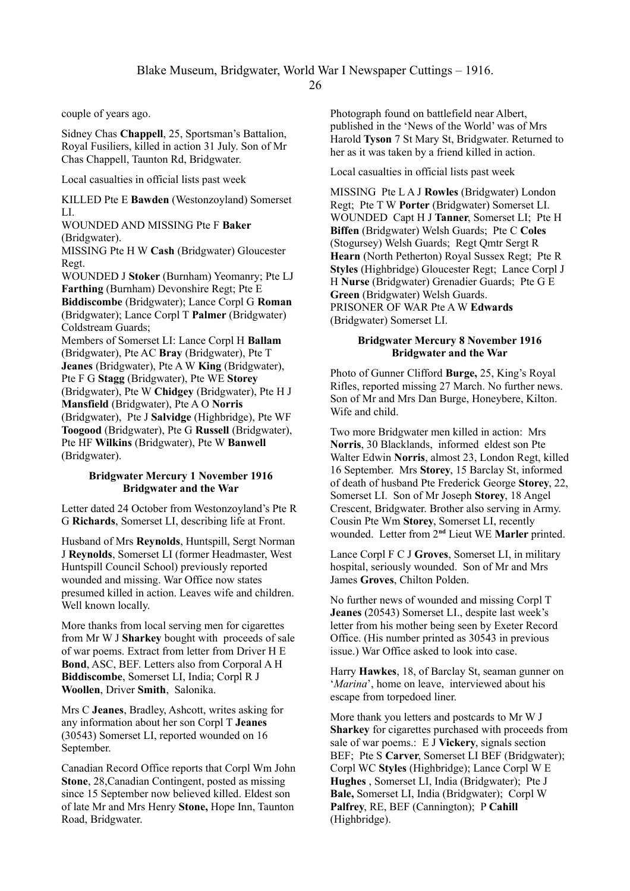couple of years ago.

Sidney Chas **Chappell**, 25, Sportsman's Battalion, Royal Fusiliers, killed in action 31 July. Son of Mr Chas Chappell, Taunton Rd, Bridgwater.

Local casualties in official lists past week

KILLED Pte E **Bawden** (Westonzoyland) Somerset LI.

WOUNDED AND MISSING Pte F **Baker** (Bridgwater).

MISSING Pte H W **Cash** (Bridgwater) Gloucester Regt.

WOUNDED J **Stoker** (Burnham) Yeomanry; Pte LJ **Farthing** (Burnham) Devonshire Regt; Pte E **Biddiscombe** (Bridgwater); Lance Corpl G **Roman** (Bridgwater); Lance Corpl T **Palmer** (Bridgwater) Coldstream Guards;

Members of Somerset LI: Lance Corpl H **Ballam**  (Bridgwater), Pte AC **Bray** (Bridgwater), Pte T **Jeanes** (Bridgwater), Pte A W **King** (Bridgwater), Pte F G **Stagg** (Bridgwater), Pte WE **Storey** (Bridgwater), Pte W **Chidgey** (Bridgwater), Pte H J **Mansfield** (Bridgwater), Pte A O **Norris** (Bridgwater), Pte J **Salvidge** (Highbridge), Pte WF **Toogood** (Bridgwater), Pte G **Russell** (Bridgwater), Pte HF **Wilkins** (Bridgwater), Pte W **Banwell** (Bridgwater).

# **Bridgwater Mercury 1 November 1916 Bridgwater and the War**

Letter dated 24 October from Westonzoyland's Pte R G **Richards**, Somerset LI, describing life at Front.

Husband of Mrs **Reynolds**, Huntspill, Sergt Norman J **Reynolds**, Somerset LI (former Headmaster, West Huntspill Council School) previously reported wounded and missing. War Office now states presumed killed in action. Leaves wife and children. Well known locally.

More thanks from local serving men for cigarettes from Mr W J **Sharkey** bought with proceeds of sale of war poems. Extract from letter from Driver H E **Bond**, ASC, BEF. Letters also from Corporal A H **Biddiscombe**, Somerset LI, India; Corpl R J **Woollen**, Driver **Smith**, Salonika.

Mrs C **Jeanes**, Bradley, Ashcott, writes asking for any information about her son Corpl T **Jeanes** (30543) Somerset LI, reported wounded on 16 September.

Canadian Record Office reports that Corpl Wm John **Stone**, 28,Canadian Contingent, posted as missing since 15 September now believed killed. Eldest son of late Mr and Mrs Henry **Stone,** Hope Inn, Taunton Road, Bridgwater.

Photograph found on battlefield near Albert, published in the 'News of the World' was of Mrs Harold **Tyson** 7 St Mary St, Bridgwater. Returned to her as it was taken by a friend killed in action.

Local casualties in official lists past week

MISSING Pte L A J **Rowles** (Bridgwater) London Regt; Pte T W **Porter** (Bridgwater) Somerset LI. WOUNDED Capt H J **Tanner**, Somerset LI; Pte H **Biffen** (Bridgwater) Welsh Guards; Pte C **Coles** (Stogursey) Welsh Guards; Regt Qmtr Sergt R **Hearn** (North Petherton) Royal Sussex Regt; Pte R **Styles** (Highbridge) Gloucester Regt; Lance Corpl J H **Nurse** (Bridgwater) Grenadier Guards; Pte G E **Green** (Bridgwater) Welsh Guards. PRISONER OF WAR Pte A W **Edwards** (Bridgwater) Somerset LI.

### **Bridgwater Mercury 8 November 1916 Bridgwater and the War**

Photo of Gunner Clifford **Burge,** 25, King's Royal Rifles, reported missing 27 March. No further news. Son of Mr and Mrs Dan Burge, Honeybere, Kilton. Wife and child.

Two more Bridgwater men killed in action: Mrs **Norris**, 30 Blacklands, informed eldest son Pte Walter Edwin **Norris**, almost 23, London Regt, killed 16 September. Mrs **Storey**, 15 Barclay St, informed of death of husband Pte Frederick George **Storey**, 22, Somerset LI. Son of Mr Joseph **Storey**, 18 Angel Crescent, Bridgwater. Brother also serving in Army. Cousin Pte Wm **Storey**, Somerset LI, recently wounded. Letter from 2**nd** Lieut WE **Marler** printed.

Lance Corpl F C J **Groves**, Somerset LI, in military hospital, seriously wounded. Son of Mr and Mrs James **Groves**, Chilton Polden.

No further news of wounded and missing Corpl T **Jeanes** (20543) Somerset LI., despite last week's letter from his mother being seen by Exeter Record Office. (His number printed as 30543 in previous issue.) War Office asked to look into case.

Harry **Hawkes**, 18, of Barclay St, seaman gunner on '*Marina*', home on leave, interviewed about his escape from torpedoed liner.

More thank you letters and postcards to Mr W J **Sharkey** for cigarettes purchased with proceeds from sale of war poems.: E J **Vickery**, signals section BEF; Pte S **Carver**, Somerset LI BEF (Bridgwater); Corpl WC **Styles** (Highbridge); Lance Corpl W E **Hughes** , Somerset LI, India (Bridgwater); Pte J **Bale,** Somerset LI, India (Bridgwater); Corpl W **Palfrey**, RE, BEF (Cannington); P **Cahill**  (Highbridge).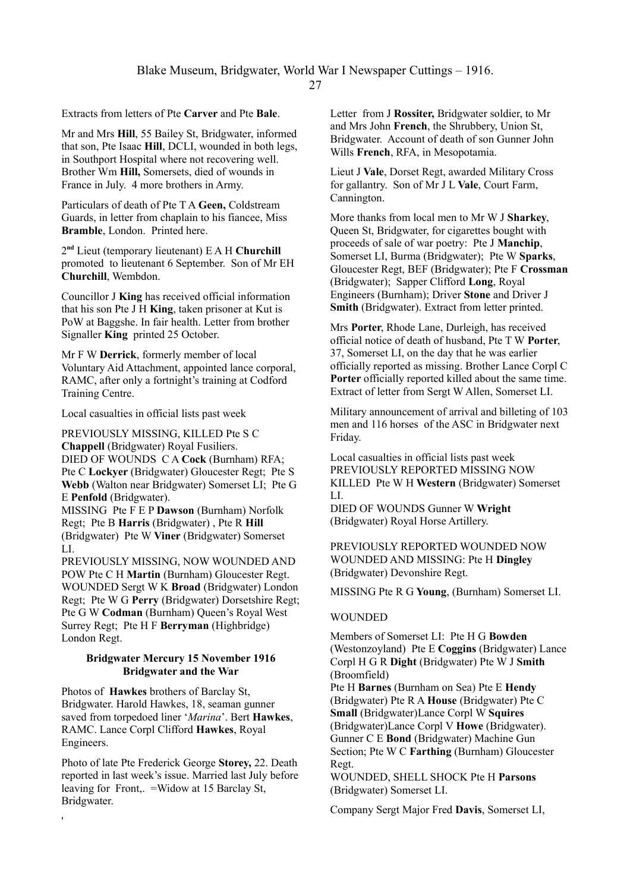Extracts from letters of Pte **Carver** and Pte **Bale**.

Mr and Mrs **Hill**, 55 Bailey St, Bridgwater, informed that son, Pte Isaac **Hill**, DCLI, wounded in both legs, in Southport Hospital where not recovering well. Brother Wm **Hill,** Somersets, died of wounds in France in July. 4 more brothers in Army.

Particulars of death of Pte T A **Geen,** Coldstream Guards, in letter from chaplain to his fiancee, Miss **Bramble**, London. Printed here.

2 **nd** Lieut (temporary lieutenant) E A H **Churchill** promoted to lieutenant 6 September. Son of Mr EH **Churchill**, Wembdon.

Councillor J **King** has received official information that his son Pte J H **King**, taken prisoner at Kut is PoW at Baggshe. In fair health. Letter from brother Signaller **King** printed 25 October.

Mr F W **Derrick**, formerly member of local Voluntary Aid Attachment, appointed lance corporal, RAMC, after only a fortnight's training at Codford Training Centre.

Local casualties in official lists past week

PREVIOUSLY MISSING, KILLED Pte S C **Chappell** (Bridgwater) Royal Fusiliers. DIED OF WOUNDS C A **Cock** (Burnham) RFA; Pte C **Lockyer** (Bridgwater) Gloucester Regt; Pte S **Webb** (Walton near Bridgwater) Somerset LI; Pte G E **Penfold** (Bridgwater). MISSING Pte F E P **Dawson** (Burnham) Norfolk

Regt; Pte B **Harris** (Bridgwater) , Pte R **Hill** (Bridgwater) Pte W **Viner** (Bridgwater) Somerset LI.

PREVIOUSLY MISSING, NOW WOUNDED AND POW Pte C H **Martin** (Burnham) Gloucester Regt. WOUNDED Sergt W K **Broad** (Bridgwater) London Regt; Pte W G **Perry** (Bridgwater) Dorsetshire Regt; Pte G W **Codman** (Burnham) Queen's Royal West Surrey Regt; Pte H F **Berryman** (Highbridge) London Regt.

### **Bridgwater Mercury 15 November 1916 Bridgwater and the War**

Photos of **Hawkes** brothers of Barclay St, Bridgwater. Harold Hawkes, 18, seaman gunner saved from torpedoed liner '*Marina*'. Bert **Hawkes**, RAMC. Lance Corpl Clifford **Hawkes**, Royal Engineers.

Photo of late Pte Frederick George **Storey,** 22. Death reported in last week's issue. Married last July before leaving for Front,. =Widow at 15 Barclay St, Bridgwater.

'

Letter from J **Rossiter,** Bridgwater soldier, to Mr and Mrs John **French**, the Shrubbery, Union St, Bridgwater. Account of death of son Gunner John Wills **French**, RFA, in Mesopotamia.

Lieut J **Vale**, Dorset Regt, awarded Military Cross for gallantry. Son of Mr J L **Vale**, Court Farm, Cannington.

More thanks from local men to Mr W J **Sharkey**, Queen St, Bridgwater, for cigarettes bought with proceeds of sale of war poetry: Pte J **Manchip**, Somerset LI, Burma (Bridgwater); Pte W **Sparks**, Gloucester Regt, BEF (Bridgwater); Pte F **Crossman** (Bridgwater); Sapper Clifford **Long**, Royal Engineers (Burnham); Driver **Stone** and Driver J **Smith** (Bridgwater). Extract from letter printed.

Mrs **Porter**, Rhode Lane, Durleigh, has received official notice of death of husband, Pte T W **Porter**, 37, Somerset LI, on the day that he was earlier officially reported as missing. Brother Lance Corpl C Porter officially reported killed about the same time. Extract of letter from Sergt W Allen, Somerset LI.

Military announcement of arrival and billeting of 103 men and 116 horses of the ASC in Bridgwater next Friday.

Local casualties in official lists past week PREVIOUSLY REPORTED MISSING NOW KILLED Pte W H **Western** (Bridgwater) Somerset LI.

DIED OF WOUNDS Gunner W **Wright** (Bridgwater) Royal Horse Artillery.

PREVIOUSLY REPORTED WOUNDED NOW WOUNDED AND MISSING: Pte H **Dingley**  (Bridgwater) Devonshire Regt.

MISSING Pte R G **Young**, (Burnham) Somerset LI.

# WOUNDED

Members of Somerset LI: Pte H G **Bowden**  (Westonzoyland)Pte E **Coggins** (Bridgwater) Lance Corpl H G R **Dight** (Bridgwater) Pte W J **Smith**  (Broomfield)

Pte H **Barnes** (Burnham on Sea) Pte E **Hendy**  (Bridgwater) Pte R A **House** (Bridgwater) Pte C **Small** (Bridgwater)Lance Corpl W **Squires**  (Bridgwater)Lance Corpl V **Howe** (Bridgwater). Gunner C E **Bond** (Bridgwater) Machine Gun Section; Pte W C **Farthing** (Burnham) Gloucester Regt.

WOUNDED, SHELL SHOCK Pte H **Parsons** (Bridgwater) Somerset LI.

Company Sergt Major Fred **Davis**, Somerset LI,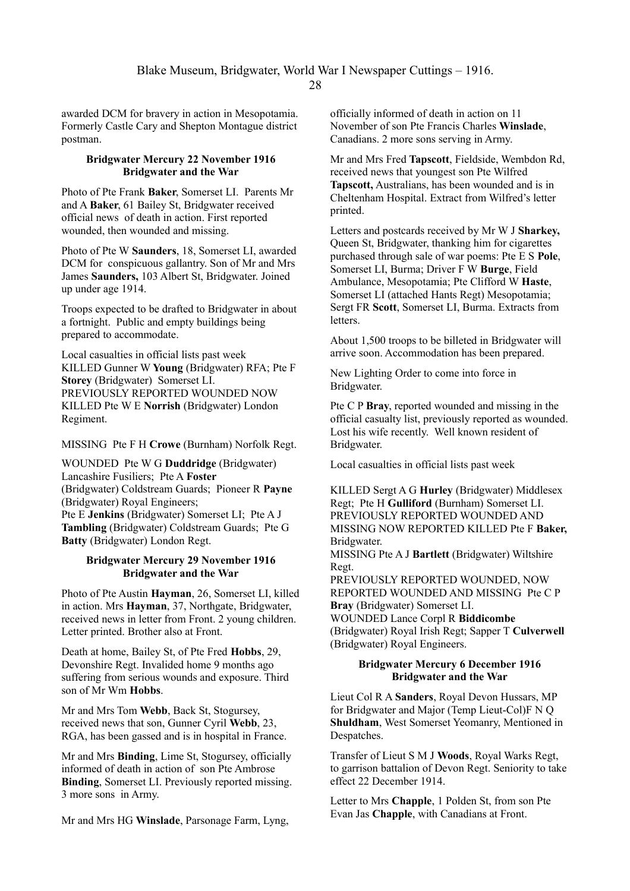awarded DCM for bravery in action in Mesopotamia. Formerly Castle Cary and Shepton Montague district postman.

# **Bridgwater Mercury 22 November 1916 Bridgwater and the War**

Photo of Pte Frank **Baker**, Somerset LI. Parents Mr and A **Baker**, 61 Bailey St, Bridgwater received official news of death in action. First reported wounded, then wounded and missing.

Photo of Pte W **Saunders**, 18, Somerset LI, awarded DCM for conspicuous gallantry. Son of Mr and Mrs James **Saunders,** 103 Albert St, Bridgwater. Joined up under age 1914.

Troops expected to be drafted to Bridgwater in about a fortnight. Public and empty buildings being prepared to accommodate.

Local casualties in official lists past week KILLED Gunner W **Young** (Bridgwater) RFA; Pte F **Storey** (Bridgwater) Somerset LI. PREVIOUSLY REPORTED WOUNDED NOW KILLED Pte W E **Norrish** (Bridgwater) London Regiment.

MISSING Pte F H **Crowe** (Burnham) Norfolk Regt.

WOUNDED Pte W G **Duddridge** (Bridgwater) Lancashire Fusiliers; Pte A **Foster** (Bridgwater) Coldstream Guards; Pioneer R **Payne** (Bridgwater) Royal Engineers; Pte E **Jenkins** (Bridgwater) Somerset LI; Pte A J **Tambling** (Bridgwater) Coldstream Guards; Pte G **Batty** (Bridgwater) London Regt.

# **Bridgwater Mercury 29 November 1916 Bridgwater and the War**

Photo of Pte Austin **Hayman**, 26, Somerset LI, killed in action. Mrs **Hayman**, 37, Northgate, Bridgwater, received news in letter from Front. 2 young children. Letter printed. Brother also at Front.

Death at home, Bailey St, of Pte Fred **Hobbs**, 29, Devonshire Regt. Invalided home 9 months ago suffering from serious wounds and exposure. Third son of Mr Wm **Hobbs**.

Mr and Mrs Tom **Webb**, Back St, Stogursey, received news that son, Gunner Cyril **Webb**, 23, RGA, has been gassed and is in hospital in France.

Mr and Mrs **Binding**, Lime St, Stogursey, officially informed of death in action of son Pte Ambrose **Binding**, Somerset LI. Previously reported missing. 3 more sons in Army.

Mr and Mrs HG **Winslade**, Parsonage Farm, Lyng,

officially informed of death in action on 11 November of son Pte Francis Charles **Winslade**, Canadians. 2 more sons serving in Army.

Mr and Mrs Fred **Tapscott**, Fieldside, Wembdon Rd, received news that youngest son Pte Wilfred **Tapscott,** Australians, has been wounded and is in Cheltenham Hospital. Extract from Wilfred's letter printed.

Letters and postcards received by Mr W J **Sharkey,** Queen St, Bridgwater, thanking him for cigarettes purchased through sale of war poems: Pte E S **Pole**, Somerset LI, Burma; Driver F W **Burge**, Field Ambulance, Mesopotamia; Pte Clifford W **Haste**, Somerset LI (attached Hants Regt) Mesopotamia; Sergt FR **Scott**, Somerset LI, Burma. Extracts from **letters** 

About 1,500 troops to be billeted in Bridgwater will arrive soon. Accommodation has been prepared.

New Lighting Order to come into force in Bridgwater.

Pte C P **Bray**, reported wounded and missing in the official casualty list, previously reported as wounded. Lost his wife recently. Well known resident of Bridgwater.

Local casualties in official lists past week

KILLED Sergt A G **Hurley** (Bridgwater) Middlesex Regt; Pte H **Gulliford** (Burnham) Somerset LI. PREVIOUSLY REPORTED WOUNDED AND MISSING NOW REPORTED KILLED Pte F **Baker,** Bridgwater.

MISSING Pte A J **Bartlett** (Bridgwater) Wiltshire Regt.

PREVIOUSLY REPORTED WOUNDED, NOW REPORTED WOUNDED AND MISSING Pte C P **Bray** (Bridgwater) Somerset LI. WOUNDED Lance Corpl R **Biddicombe** (Bridgwater) Royal Irish Regt; Sapper T **Culverwell** (Bridgwater) Royal Engineers.

# **Bridgwater Mercury 6 December 1916 Bridgwater and the War**

Lieut Col R A **Sanders**, Royal Devon Hussars, MP for Bridgwater and Major (Temp Lieut-Col)F N Q **Shuldham**, West Somerset Yeomanry, Mentioned in Despatches.

Transfer of Lieut S M J **Woods**, Royal Warks Regt, to garrison battalion of Devon Regt. Seniority to take effect 22 December 1914.

Letter to Mrs **Chapple**, 1 Polden St, from son Pte Evan Jas **Chapple**, with Canadians at Front.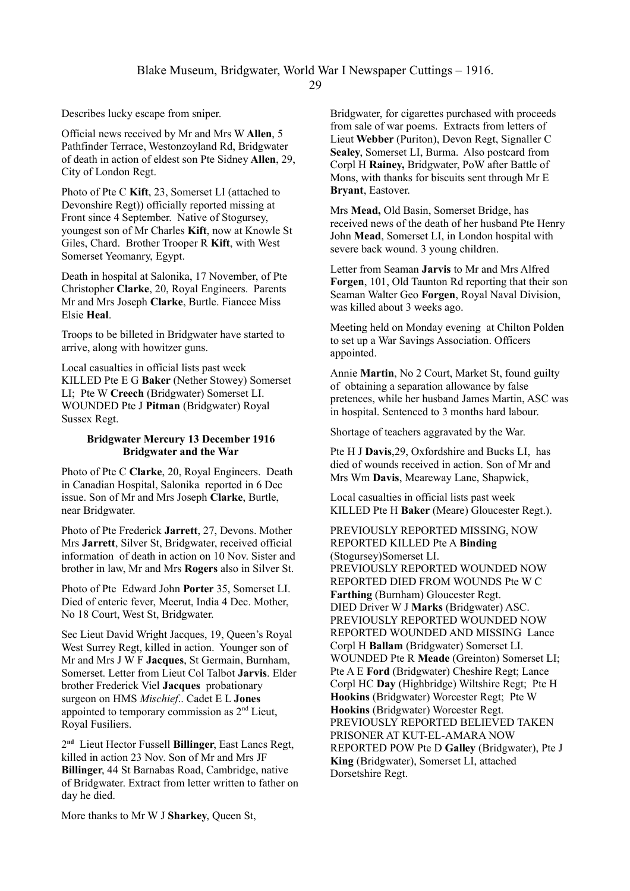Describes lucky escape from sniper.

Official news received by Mr and Mrs W **Allen**, 5 Pathfinder Terrace, Westonzoyland Rd, Bridgwater of death in action of eldest son Pte Sidney **Allen**, 29, City of London Regt.

Photo of Pte C **Kift**, 23, Somerset LI (attached to Devonshire Regt)) officially reported missing at Front since 4 September. Native of Stogursey, youngest son of Mr Charles **Kift**, now at Knowle St Giles, Chard. Brother Trooper R **Kift**, with West Somerset Yeomanry, Egypt.

Death in hospital at Salonika, 17 November, of Pte Christopher **Clarke**, 20, Royal Engineers. Parents Mr and Mrs Joseph **Clarke**, Burtle. Fiancee Miss Elsie **Heal**.

Troops to be billeted in Bridgwater have started to arrive, along with howitzer guns.

Local casualties in official lists past week KILLED Pte E G **Baker** (Nether Stowey) Somerset LI; Pte W **Creech** (Bridgwater) Somerset LI. WOUNDED Pte J **Pitman** (Bridgwater) Royal Sussex Regt.

# **Bridgwater Mercury 13 December 1916 Bridgwater and the War**

Photo of Pte C **Clarke**, 20, Royal Engineers. Death in Canadian Hospital, Salonika reported in 6 Dec issue. Son of Mr and Mrs Joseph **Clarke**, Burtle, near Bridgwater.

Photo of Pte Frederick **Jarrett**, 27, Devons. Mother Mrs **Jarrett**, Silver St, Bridgwater, received official information of death in action on 10 Nov. Sister and brother in law, Mr and Mrs **Rogers** also in Silver St.

Photo of Pte Edward John **Porter** 35, Somerset LI. Died of enteric fever, Meerut, India 4 Dec. Mother, No 18 Court, West St, Bridgwater.

Sec Lieut David Wright Jacques, 19, Queen's Royal West Surrey Regt, killed in action. Younger son of Mr and Mrs J W F **Jacques**, St Germain, Burnham, Somerset. Letter from Lieut Col Talbot **Jarvis**. Elder brother Frederick Viel **Jacques** probationary surgeon on HMS *Mischief*.. Cadet E L **Jones** appointed to temporary commission as 2nd Lieut, Royal Fusiliers.

2 **nd** Lieut Hector Fussell **Billinger**, East Lancs Regt, killed in action 23 Nov. Son of Mr and Mrs JF **Billinger**, 44 St Barnabas Road, Cambridge, native of Bridgwater. Extract from letter written to father on day he died.

More thanks to Mr W J **Sharkey**, Queen St,

Bridgwater, for cigarettes purchased with proceeds from sale of war poems. Extracts from letters of Lieut **Webber** (Puriton), Devon Regt, Signaller C **Sealey**, Somerset LI, Burma. Also postcard from Corpl H **Rainey,** Bridgwater, PoW after Battle of Mons, with thanks for biscuits sent through Mr E **Bryant**, Eastover.

Mrs **Mead,** Old Basin, Somerset Bridge, has received news of the death of her husband Pte Henry John **Mead**, Somerset LI, in London hospital with severe back wound. 3 young children.

Letter from Seaman **Jarvis** to Mr and Mrs Alfred **Forgen**, 101, Old Taunton Rd reporting that their son Seaman Walter Geo **Forgen**, Royal Naval Division, was killed about 3 weeks ago.

Meeting held on Monday evening at Chilton Polden to set up a War Savings Association. Officers appointed.

Annie **Martin**, No 2 Court, Market St, found guilty of obtaining a separation allowance by false pretences, while her husband James Martin, ASC was in hospital. Sentenced to 3 months hard labour.

Shortage of teachers aggravated by the War.

Pte H J **Davis**,29, Oxfordshire and Bucks LI, has died of wounds received in action. Son of Mr and Mrs Wm **Davis**, Meareway Lane, Shapwick,

Local casualties in official lists past week KILLED Pte H **Baker** (Meare) Gloucester Regt.).

PREVIOUSLY REPORTED MISSING, NOW REPORTED KILLED Pte A **Binding**  (Stogursey)Somerset LI. PREVIOUSLY REPORTED WOUNDED NOW REPORTED DIED FROM WOUNDS Pte W C **Farthing** (Burnham) Gloucester Regt. DIED Driver W J **Marks** (Bridgwater) ASC. PREVIOUSLY REPORTED WOUNDED NOW REPORTED WOUNDED AND MISSING Lance Corpl H **Ballam** (Bridgwater) Somerset LI. WOUNDED Pte R **Meade** (Greinton) Somerset LI; Pte A E **Ford** (Bridgwater) Cheshire Regt; Lance Corpl HC **Day** (Highbridge) Wiltshire Regt; Pte H **Hookins** (Bridgwater) Worcester Regt; Pte W **Hookins** (Bridgwater) Worcester Regt. PREVIOUSLY REPORTED BELIEVED TAKEN PRISONER AT KUT-EL-AMARA NOW REPORTED POW Pte D **Galley** (Bridgwater), Pte J **King** (Bridgwater), Somerset LI, attached Dorsetshire Regt.